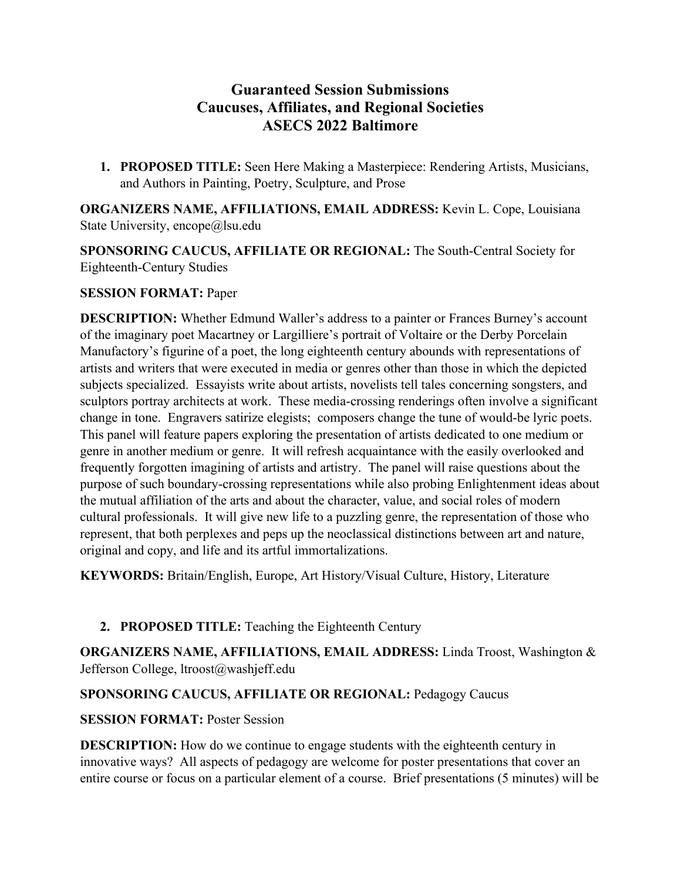# **Guaranteed Session Submissions Caucuses, Affiliates, and Regional Societies ASECS 2022 Baltimore**

**1. PROPOSED TITLE:** Seen Here Making a Masterpiece: Rendering Artists, Musicians, and Authors in Painting, Poetry, Sculpture, and Prose

**ORGANIZERS NAME, AFFILIATIONS, EMAIL ADDRESS:** Kevin L. Cope, Louisiana State University, encope@lsu.edu

**SPONSORING CAUCUS, AFFILIATE OR REGIONAL:** The South-Central Society for Eighteenth-Century Studies

### **SESSION FORMAT:** Paper

**DESCRIPTION:** Whether Edmund Waller's address to a painter or Frances Burney's account of the imaginary poet Macartney or Largilliere's portrait of Voltaire or the Derby Porcelain Manufactory's figurine of a poet, the long eighteenth century abounds with representations of artists and writers that were executed in media or genres other than those in which the depicted subjects specialized. Essayists write about artists, novelists tell tales concerning songsters, and sculptors portray architects at work. These media-crossing renderings often involve a significant change in tone. Engravers satirize elegists; composers change the tune of would-be lyric poets. This panel will feature papers exploring the presentation of artists dedicated to one medium or genre in another medium or genre. It will refresh acquaintance with the easily overlooked and frequently forgotten imagining of artists and artistry. The panel will raise questions about the purpose of such boundary-crossing representations while also probing Enlightenment ideas about the mutual affiliation of the arts and about the character, value, and social roles of modern cultural professionals. It will give new life to a puzzling genre, the representation of those who represent, that both perplexes and peps up the neoclassical distinctions between art and nature, original and copy, and life and its artful immortalizations.

**KEYWORDS:** Britain/English, Europe, Art History/Visual Culture, History, Literature

# **2. PROPOSED TITLE:** Teaching the Eighteenth Century

**ORGANIZERS NAME, AFFILIATIONS, EMAIL ADDRESS:** Linda Troost, Washington & Jefferson College, ltroost@washjeff.edu

# **SPONSORING CAUCUS, AFFILIATE OR REGIONAL:** Pedagogy Caucus

# **SESSION FORMAT:** Poster Session

**DESCRIPTION:** How do we continue to engage students with the eighteenth century in innovative ways? All aspects of pedagogy are welcome for poster presentations that cover an entire course or focus on a particular element of a course. Brief presentations (5 minutes) will be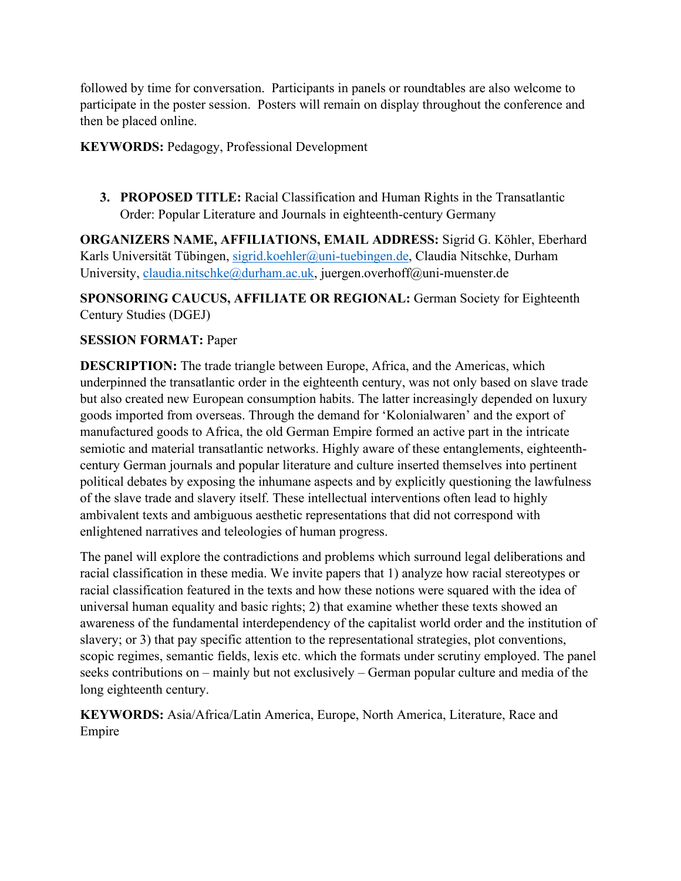followed by time for conversation. Participants in panels or roundtables are also welcome to participate in the poster session. Posters will remain on display throughout the conference and then be placed online.

**KEYWORDS:** Pedagogy, Professional Development

**3. PROPOSED TITLE:** Racial Classification and Human Rights in the Transatlantic Order: Popular Literature and Journals in eighteenth-century Germany

**ORGANIZERS NAME, AFFILIATIONS, EMAIL ADDRESS:** Sigrid G. Köhler, Eberhard Karls Universität Tübingen, [sigrid.koehler@uni-tuebingen.de,](mailto:sigrid.koehler@uni-tuebingen.de) Claudia Nitschke, Durham University, [claudia.nitschke@durham.ac.uk,](mailto:claudia.nitschke@durham.ac.uk) juergen.overhoff@uni-muenster.de

**SPONSORING CAUCUS, AFFILIATE OR REGIONAL:** German Society for Eighteenth Century Studies (DGEJ)

### **SESSION FORMAT:** Paper

**DESCRIPTION:** The trade triangle between Europe, Africa, and the Americas, which underpinned the transatlantic order in the eighteenth century, was not only based on slave trade but also created new European consumption habits. The latter increasingly depended on luxury goods imported from overseas. Through the demand for 'Kolonialwaren' and the export of manufactured goods to Africa, the old German Empire formed an active part in the intricate semiotic and material transatlantic networks. Highly aware of these entanglements, eighteenthcentury German journals and popular literature and culture inserted themselves into pertinent political debates by exposing the inhumane aspects and by explicitly questioning the lawfulness of the slave trade and slavery itself. These intellectual interventions often lead to highly ambivalent texts and ambiguous aesthetic representations that did not correspond with enlightened narratives and teleologies of human progress.

The panel will explore the contradictions and problems which surround legal deliberations and racial classification in these media. We invite papers that 1) analyze how racial stereotypes or racial classification featured in the texts and how these notions were squared with the idea of universal human equality and basic rights; 2) that examine whether these texts showed an awareness of the fundamental interdependency of the capitalist world order and the institution of slavery; or 3) that pay specific attention to the representational strategies, plot conventions, scopic regimes, semantic fields, lexis etc. which the formats under scrutiny employed. The panel seeks contributions on – mainly but not exclusively – German popular culture and media of the long eighteenth century.

**KEYWORDS:** Asia/Africa/Latin America, Europe, North America, Literature, Race and Empire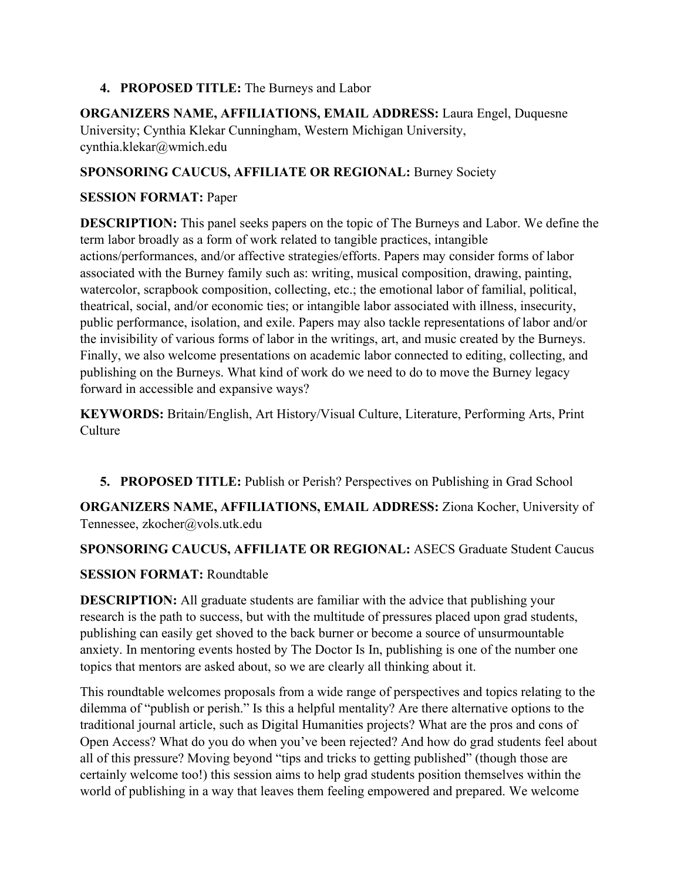### **4. PROPOSED TITLE:** The Burneys and Labor

**ORGANIZERS NAME, AFFILIATIONS, EMAIL ADDRESS:** Laura Engel, Duquesne University; Cynthia Klekar Cunningham, Western Michigan University, cynthia.klekar@wmich.edu

### **SPONSORING CAUCUS, AFFILIATE OR REGIONAL:** Burney Society

### **SESSION FORMAT:** Paper

**DESCRIPTION:** This panel seeks papers on the topic of The Burneys and Labor. We define the term labor broadly as a form of work related to tangible practices, intangible actions/performances, and/or affective strategies/efforts. Papers may consider forms of labor associated with the Burney family such as: writing, musical composition, drawing, painting, watercolor, scrapbook composition, collecting, etc.; the emotional labor of familial, political, theatrical, social, and/or economic ties; or intangible labor associated with illness, insecurity, public performance, isolation, and exile. Papers may also tackle representations of labor and/or the invisibility of various forms of labor in the writings, art, and music created by the Burneys. Finally, we also welcome presentations on academic labor connected to editing, collecting, and publishing on the Burneys. What kind of work do we need to do to move the Burney legacy forward in accessible and expansive ways?

**KEYWORDS:** Britain/English, Art History/Visual Culture, Literature, Performing Arts, Print Culture

**5. PROPOSED TITLE:** Publish or Perish? Perspectives on Publishing in Grad School

**ORGANIZERS NAME, AFFILIATIONS, EMAIL ADDRESS:** Ziona Kocher, University of Tennessee, zkocher@vols.utk.edu

# **SPONSORING CAUCUS, AFFILIATE OR REGIONAL:** ASECS Graduate Student Caucus

# **SESSION FORMAT:** Roundtable

**DESCRIPTION:** All graduate students are familiar with the advice that publishing your research is the path to success, but with the multitude of pressures placed upon grad students, publishing can easily get shoved to the back burner or become a source of unsurmountable anxiety. In mentoring events hosted by The Doctor Is In, publishing is one of the number one topics that mentors are asked about, so we are clearly all thinking about it.

This roundtable welcomes proposals from a wide range of perspectives and topics relating to the dilemma of "publish or perish." Is this a helpful mentality? Are there alternative options to the traditional journal article, such as Digital Humanities projects? What are the pros and cons of Open Access? What do you do when you've been rejected? And how do grad students feel about all of this pressure? Moving beyond "tips and tricks to getting published" (though those are certainly welcome too!) this session aims to help grad students position themselves within the world of publishing in a way that leaves them feeling empowered and prepared. We welcome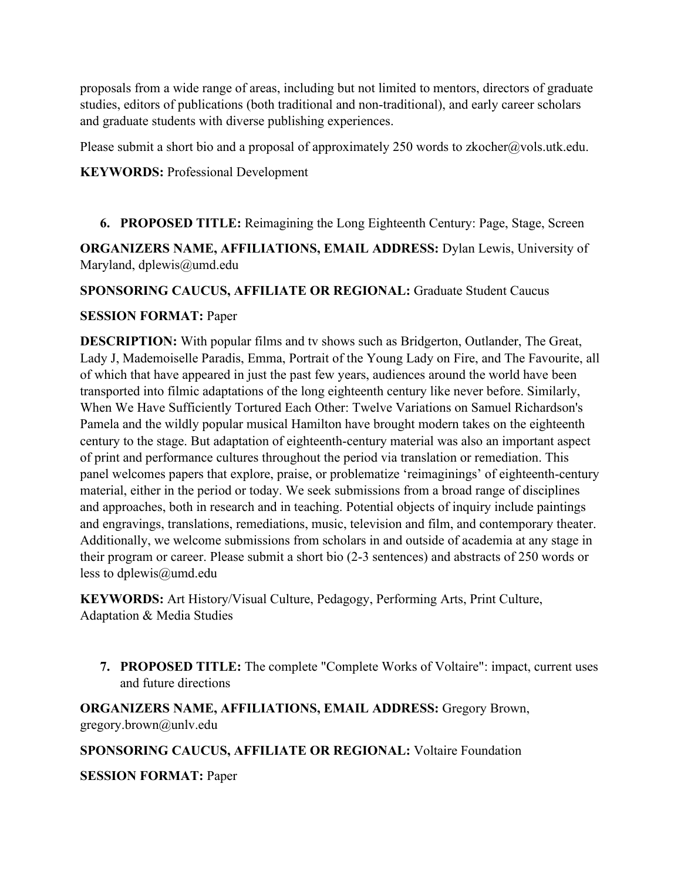proposals from a wide range of areas, including but not limited to mentors, directors of graduate studies, editors of publications (both traditional and non-traditional), and early career scholars and graduate students with diverse publishing experiences.

Please submit a short bio and a proposal of approximately 250 words to zkocher@vols.utk.edu.

#### **KEYWORDS:** Professional Development

**6. PROPOSED TITLE:** Reimagining the Long Eighteenth Century: Page, Stage, Screen

**ORGANIZERS NAME, AFFILIATIONS, EMAIL ADDRESS:** Dylan Lewis, University of Maryland, dplewis@umd.edu

**SPONSORING CAUCUS, AFFILIATE OR REGIONAL:** Graduate Student Caucus

#### **SESSION FORMAT:** Paper

**DESCRIPTION:** With popular films and tv shows such as Bridgerton, Outlander, The Great, Lady J, Mademoiselle Paradis, Emma, Portrait of the Young Lady on Fire, and The Favourite, all of which that have appeared in just the past few years, audiences around the world have been transported into filmic adaptations of the long eighteenth century like never before. Similarly, When We Have Sufficiently Tortured Each Other: Twelve Variations on Samuel Richardson's Pamela and the wildly popular musical Hamilton have brought modern takes on the eighteenth century to the stage. But adaptation of eighteenth-century material was also an important aspect of print and performance cultures throughout the period via translation or remediation. This panel welcomes papers that explore, praise, or problematize 'reimaginings' of eighteenth-century material, either in the period or today. We seek submissions from a broad range of disciplines and approaches, both in research and in teaching. Potential objects of inquiry include paintings and engravings, translations, remediations, music, television and film, and contemporary theater. Additionally, we welcome submissions from scholars in and outside of academia at any stage in their program or career. Please submit a short bio (2-3 sentences) and abstracts of 250 words or less to dplewis@umd.edu

**KEYWORDS:** Art History/Visual Culture, Pedagogy, Performing Arts, Print Culture, Adaptation & Media Studies

**7. PROPOSED TITLE:** The complete "Complete Works of Voltaire": impact, current uses and future directions

**ORGANIZERS NAME, AFFILIATIONS, EMAIL ADDRESS:** Gregory Brown, gregory.brown@unlv.edu

#### **SPONSORING CAUCUS, AFFILIATE OR REGIONAL:** Voltaire Foundation

**SESSION FORMAT:** Paper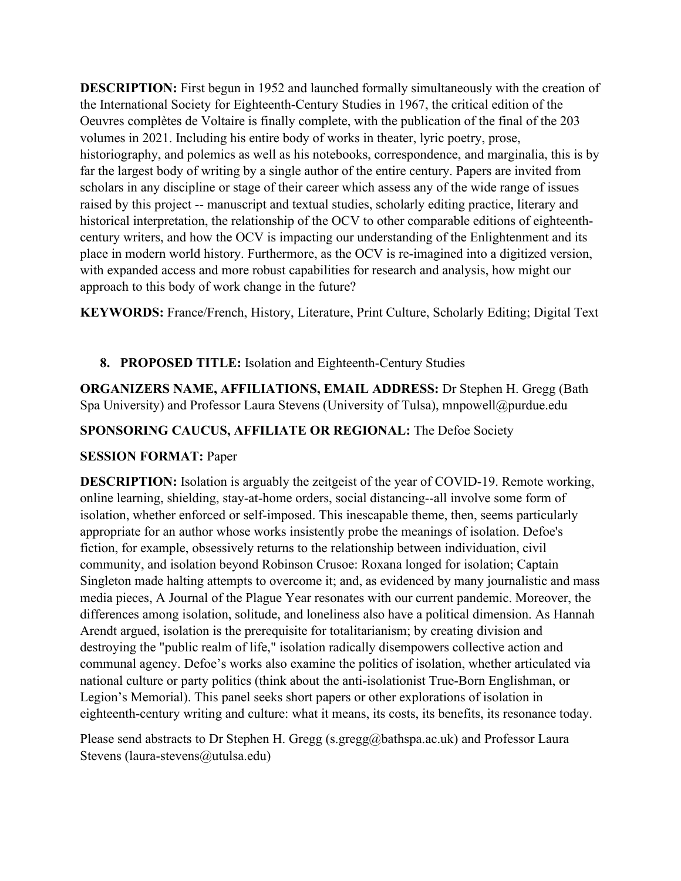**DESCRIPTION:** First begun in 1952 and launched formally simultaneously with the creation of the International Society for Eighteenth-Century Studies in 1967, the critical edition of the Oeuvres complètes de Voltaire is finally complete, with the publication of the final of the 203 volumes in 2021. Including his entire body of works in theater, lyric poetry, prose, historiography, and polemics as well as his notebooks, correspondence, and marginalia, this is by far the largest body of writing by a single author of the entire century. Papers are invited from scholars in any discipline or stage of their career which assess any of the wide range of issues raised by this project -- manuscript and textual studies, scholarly editing practice, literary and historical interpretation, the relationship of the OCV to other comparable editions of eighteenthcentury writers, and how the OCV is impacting our understanding of the Enlightenment and its place in modern world history. Furthermore, as the OCV is re-imagined into a digitized version, with expanded access and more robust capabilities for research and analysis, how might our approach to this body of work change in the future?

**KEYWORDS:** France/French, History, Literature, Print Culture, Scholarly Editing; Digital Text

# **8. PROPOSED TITLE:** Isolation and Eighteenth-Century Studies

**ORGANIZERS NAME, AFFILIATIONS, EMAIL ADDRESS:** Dr Stephen H. Gregg (Bath Spa University) and Professor Laura Stevens (University of Tulsa), mnpowell@purdue.edu

# **SPONSORING CAUCUS, AFFILIATE OR REGIONAL:** The Defoe Society

# **SESSION FORMAT:** Paper

**DESCRIPTION:** Isolation is arguably the zeitgeist of the year of COVID-19. Remote working, online learning, shielding, stay-at-home orders, social distancing--all involve some form of isolation, whether enforced or self-imposed. This inescapable theme, then, seems particularly appropriate for an author whose works insistently probe the meanings of isolation. Defoe's fiction, for example, obsessively returns to the relationship between individuation, civil community, and isolation beyond Robinson Crusoe: Roxana longed for isolation; Captain Singleton made halting attempts to overcome it; and, as evidenced by many journalistic and mass media pieces, A Journal of the Plague Year resonates with our current pandemic. Moreover, the differences among isolation, solitude, and loneliness also have a political dimension. As Hannah Arendt argued, isolation is the prerequisite for totalitarianism; by creating division and destroying the "public realm of life," isolation radically disempowers collective action and communal agency. Defoe's works also examine the politics of isolation, whether articulated via national culture or party politics (think about the anti-isolationist True-Born Englishman, or Legion's Memorial). This panel seeks short papers or other explorations of isolation in eighteenth-century writing and culture: what it means, its costs, its benefits, its resonance today.

Please send abstracts to Dr Stephen H. Gregg (s.gregg@bathspa.ac.uk) and Professor Laura Stevens (laura-stevens@utulsa.edu)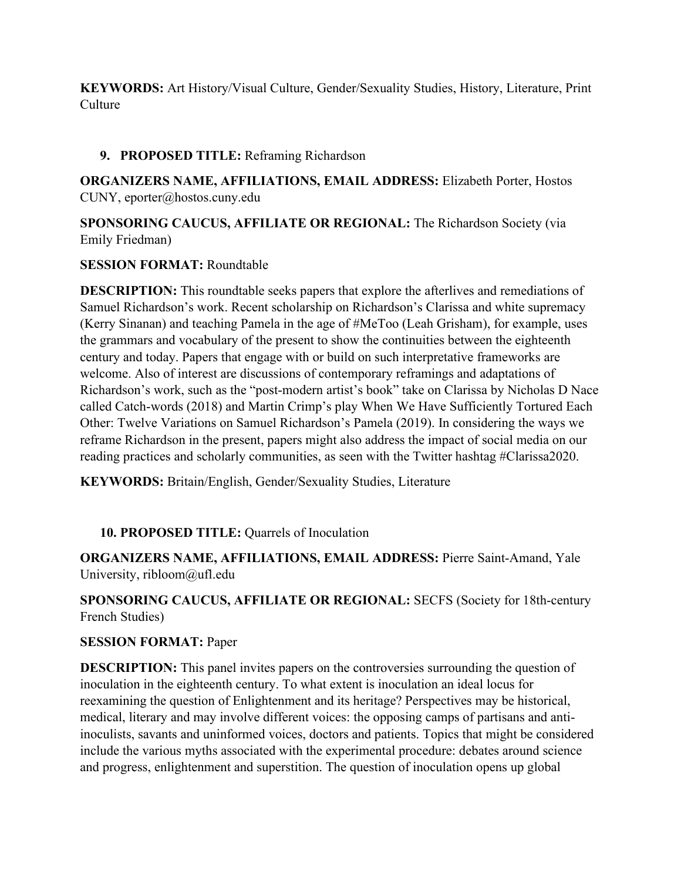**KEYWORDS:** Art History/Visual Culture, Gender/Sexuality Studies, History, Literature, Print **Culture** 

### **9. PROPOSED TITLE:** Reframing Richardson

**ORGANIZERS NAME, AFFILIATIONS, EMAIL ADDRESS:** Elizabeth Porter, Hostos CUNY, eporter@hostos.cuny.edu

**SPONSORING CAUCUS, AFFILIATE OR REGIONAL:** The Richardson Society (via Emily Friedman)

#### **SESSION FORMAT:** Roundtable

**DESCRIPTION:** This roundtable seeks papers that explore the afterlives and remediations of Samuel Richardson's work. Recent scholarship on Richardson's Clarissa and white supremacy (Kerry Sinanan) and teaching Pamela in the age of #MeToo (Leah Grisham), for example, uses the grammars and vocabulary of the present to show the continuities between the eighteenth century and today. Papers that engage with or build on such interpretative frameworks are welcome. Also of interest are discussions of contemporary reframings and adaptations of Richardson's work, such as the "post-modern artist's book" take on Clarissa by Nicholas D Nace called Catch-words (2018) and Martin Crimp's play When We Have Sufficiently Tortured Each Other: Twelve Variations on Samuel Richardson's Pamela (2019). In considering the ways we reframe Richardson in the present, papers might also address the impact of social media on our reading practices and scholarly communities, as seen with the Twitter hashtag #Clarissa2020.

**KEYWORDS:** Britain/English, Gender/Sexuality Studies, Literature

# **10. PROPOSED TITLE:** Quarrels of Inoculation

**ORGANIZERS NAME, AFFILIATIONS, EMAIL ADDRESS:** Pierre Saint-Amand, Yale University, ribloom@ufl.edu

**SPONSORING CAUCUS, AFFILIATE OR REGIONAL:** SECFS (Society for 18th-century French Studies)

#### **SESSION FORMAT:** Paper

**DESCRIPTION:** This panel invites papers on the controversies surrounding the question of inoculation in the eighteenth century. To what extent is inoculation an ideal locus for reexamining the question of Enlightenment and its heritage? Perspectives may be historical, medical, literary and may involve different voices: the opposing camps of partisans and antiinoculists, savants and uninformed voices, doctors and patients. Topics that might be considered include the various myths associated with the experimental procedure: debates around science and progress, enlightenment and superstition. The question of inoculation opens up global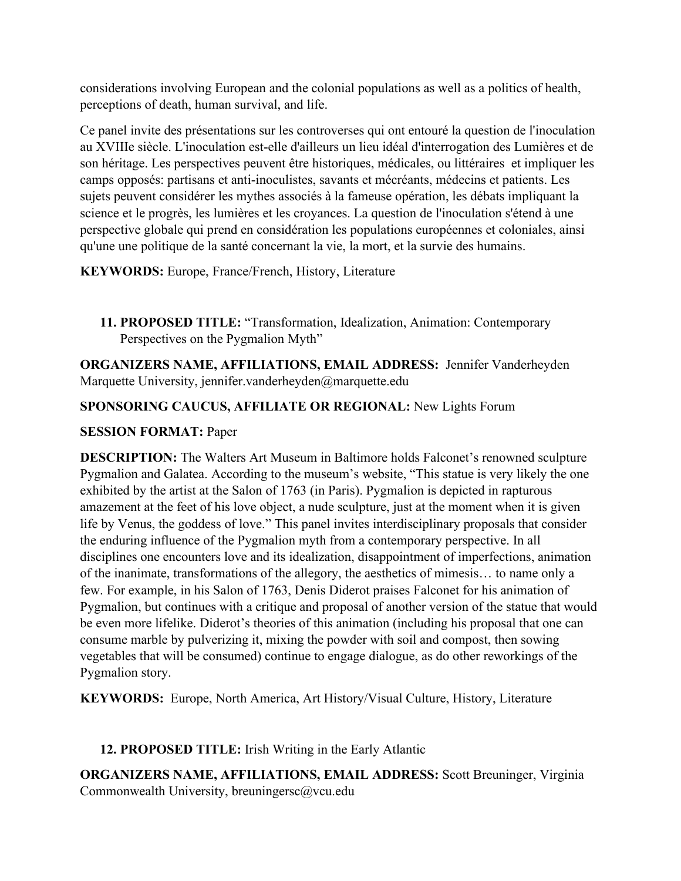considerations involving European and the colonial populations as well as a politics of health, perceptions of death, human survival, and life.

Ce panel invite des présentations sur les controverses qui ont entouré la question de l'inoculation au XVIIIe siècle. L'inoculation est-elle d'ailleurs un lieu idéal d'interrogation des Lumières et de son héritage. Les perspectives peuvent être historiques, médicales, ou littéraires et impliquer les camps opposés: partisans et anti-inoculistes, savants et mécréants, médecins et patients. Les sujets peuvent considérer les mythes associés à la fameuse opération, les débats impliquant la science et le progrès, les lumières et les croyances. La question de l'inoculation s'étend à une perspective globale qui prend en considération les populations européennes et coloniales, ainsi qu'une une politique de la santé concernant la vie, la mort, et la survie des humains.

**KEYWORDS:** Europe, France/French, History, Literature

**11. PROPOSED TITLE:** "Transformation, Idealization, Animation: Contemporary Perspectives on the Pygmalion Myth"

**ORGANIZERS NAME, AFFILIATIONS, EMAIL ADDRESS:** Jennifer Vanderheyden Marquette University, jennifer.vanderheyden@marquette.edu

# **SPONSORING CAUCUS, AFFILIATE OR REGIONAL:** New Lights Forum

# **SESSION FORMAT:** Paper

**DESCRIPTION:** The Walters Art Museum in Baltimore holds Falconet's renowned sculpture Pygmalion and Galatea. According to the museum's website, "This statue is very likely the one exhibited by the artist at the Salon of 1763 (in Paris). Pygmalion is depicted in rapturous amazement at the feet of his love object, a nude sculpture, just at the moment when it is given life by Venus, the goddess of love." This panel invites interdisciplinary proposals that consider the enduring influence of the Pygmalion myth from a contemporary perspective. In all disciplines one encounters love and its idealization, disappointment of imperfections, animation of the inanimate, transformations of the allegory, the aesthetics of mimesis… to name only a few. For example, in his Salon of 1763, Denis Diderot praises Falconet for his animation of Pygmalion, but continues with a critique and proposal of another version of the statue that would be even more lifelike. Diderot's theories of this animation (including his proposal that one can consume marble by pulverizing it, mixing the powder with soil and compost, then sowing vegetables that will be consumed) continue to engage dialogue, as do other reworkings of the Pygmalion story.

**KEYWORDS:** Europe, North America, Art History/Visual Culture, History, Literature

# **12. PROPOSED TITLE:** Irish Writing in the Early Atlantic

**ORGANIZERS NAME, AFFILIATIONS, EMAIL ADDRESS:** Scott Breuninger, Virginia Commonwealth University, breuningersc@vcu.edu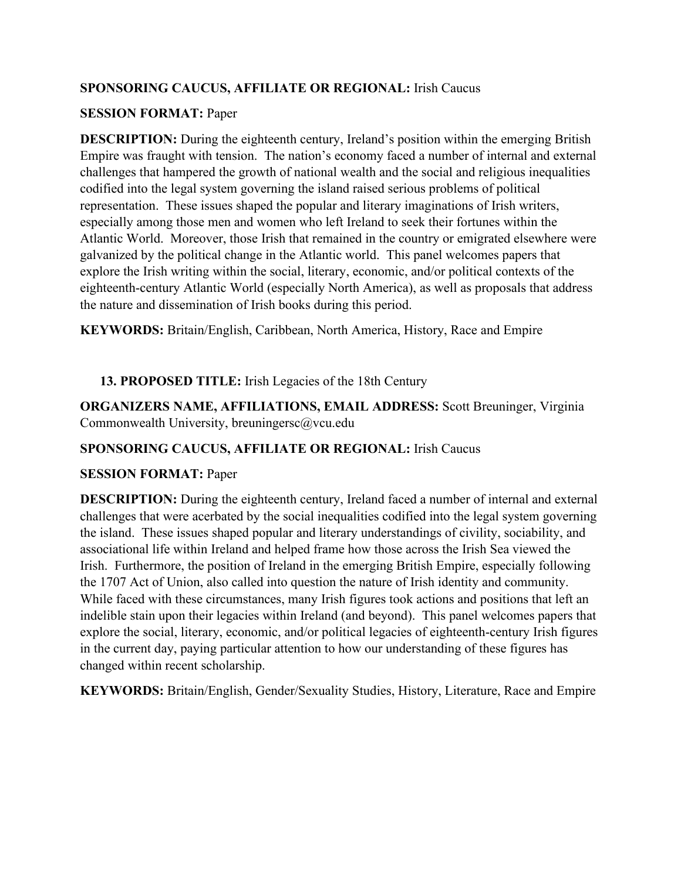### **SPONSORING CAUCUS, AFFILIATE OR REGIONAL:** Irish Caucus

#### **SESSION FORMAT:** Paper

**DESCRIPTION:** During the eighteenth century, Ireland's position within the emerging British Empire was fraught with tension. The nation's economy faced a number of internal and external challenges that hampered the growth of national wealth and the social and religious inequalities codified into the legal system governing the island raised serious problems of political representation. These issues shaped the popular and literary imaginations of Irish writers, especially among those men and women who left Ireland to seek their fortunes within the Atlantic World. Moreover, those Irish that remained in the country or emigrated elsewhere were galvanized by the political change in the Atlantic world. This panel welcomes papers that explore the Irish writing within the social, literary, economic, and/or political contexts of the eighteenth-century Atlantic World (especially North America), as well as proposals that address the nature and dissemination of Irish books during this period.

**KEYWORDS:** Britain/English, Caribbean, North America, History, Race and Empire

### **13. PROPOSED TITLE:** Irish Legacies of the 18th Century

**ORGANIZERS NAME, AFFILIATIONS, EMAIL ADDRESS:** Scott Breuninger, Virginia Commonwealth University, breuningersc@vcu.edu

### **SPONSORING CAUCUS, AFFILIATE OR REGIONAL:** Irish Caucus

#### **SESSION FORMAT:** Paper

**DESCRIPTION:** During the eighteenth century, Ireland faced a number of internal and external challenges that were acerbated by the social inequalities codified into the legal system governing the island. These issues shaped popular and literary understandings of civility, sociability, and associational life within Ireland and helped frame how those across the Irish Sea viewed the Irish. Furthermore, the position of Ireland in the emerging British Empire, especially following the 1707 Act of Union, also called into question the nature of Irish identity and community. While faced with these circumstances, many Irish figures took actions and positions that left an indelible stain upon their legacies within Ireland (and beyond). This panel welcomes papers that explore the social, literary, economic, and/or political legacies of eighteenth-century Irish figures in the current day, paying particular attention to how our understanding of these figures has changed within recent scholarship.

**KEYWORDS:** Britain/English, Gender/Sexuality Studies, History, Literature, Race and Empire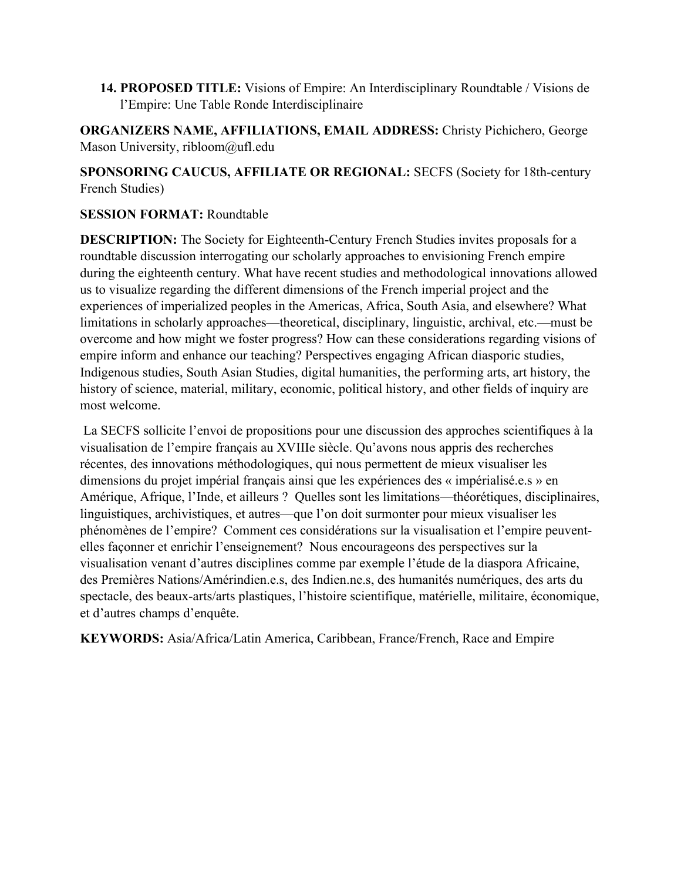**14. PROPOSED TITLE:** Visions of Empire: An Interdisciplinary Roundtable / Visions de l'Empire: Une Table Ronde Interdisciplinaire

**ORGANIZERS NAME, AFFILIATIONS, EMAIL ADDRESS:** Christy Pichichero, George Mason University, ribloom@ufl.edu

**SPONSORING CAUCUS, AFFILIATE OR REGIONAL:** SECFS (Society for 18th-century French Studies)

#### **SESSION FORMAT:** Roundtable

**DESCRIPTION:** The Society for Eighteenth-Century French Studies invites proposals for a roundtable discussion interrogating our scholarly approaches to envisioning French empire during the eighteenth century. What have recent studies and methodological innovations allowed us to visualize regarding the different dimensions of the French imperial project and the experiences of imperialized peoples in the Americas, Africa, South Asia, and elsewhere? What limitations in scholarly approaches—theoretical, disciplinary, linguistic, archival, etc.—must be overcome and how might we foster progress? How can these considerations regarding visions of empire inform and enhance our teaching? Perspectives engaging African diasporic studies, Indigenous studies, South Asian Studies, digital humanities, the performing arts, art history, the history of science, material, military, economic, political history, and other fields of inquiry are most welcome.

La SECFS sollicite l'envoi de propositions pour une discussion des approches scientifiques à la visualisation de l'empire français au XVIIIe siècle. Qu'avons nous appris des recherches récentes, des innovations méthodologiques, qui nous permettent de mieux visualiser les dimensions du projet impérial français ainsi que les expériences des « impérialisé.e.s » en Amérique, Afrique, l'Inde, et ailleurs ? Quelles sont les limitations—théorétiques, disciplinaires, linguistiques, archivistiques, et autres—que l'on doit surmonter pour mieux visualiser les phénomènes de l'empire? Comment ces considérations sur la visualisation et l'empire peuventelles façonner et enrichir l'enseignement? Nous encourageons des perspectives sur la visualisation venant d'autres disciplines comme par exemple l'étude de la diaspora Africaine, des Premières Nations/Amérindien.e.s, des Indien.ne.s, des humanités numériques, des arts du spectacle, des beaux-arts/arts plastiques, l'histoire scientifique, matérielle, militaire, économique, et d'autres champs d'enquête.

**KEYWORDS:** Asia/Africa/Latin America, Caribbean, France/French, Race and Empire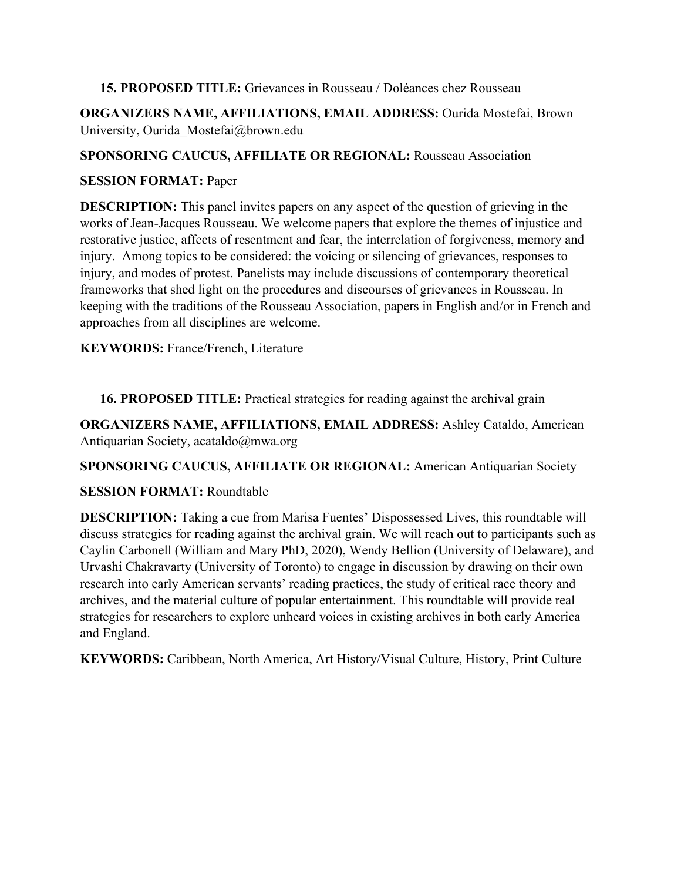#### **15. PROPOSED TITLE:** Grievances in Rousseau / Doléances chez Rousseau

**ORGANIZERS NAME, AFFILIATIONS, EMAIL ADDRESS:** Ourida Mostefai, Brown University, Ourida\_Mostefai@brown.edu

### **SPONSORING CAUCUS, AFFILIATE OR REGIONAL:** Rousseau Association

### **SESSION FORMAT:** Paper

**DESCRIPTION:** This panel invites papers on any aspect of the question of grieving in the works of Jean-Jacques Rousseau. We welcome papers that explore the themes of injustice and restorative justice, affects of resentment and fear, the interrelation of forgiveness, memory and injury. Among topics to be considered: the voicing or silencing of grievances, responses to injury, and modes of protest. Panelists may include discussions of contemporary theoretical frameworks that shed light on the procedures and discourses of grievances in Rousseau. In keeping with the traditions of the Rousseau Association, papers in English and/or in French and approaches from all disciplines are welcome.

**KEYWORDS:** France/French, Literature

**16. PROPOSED TITLE:** Practical strategies for reading against the archival grain

**ORGANIZERS NAME, AFFILIATIONS, EMAIL ADDRESS:** Ashley Cataldo, American Antiquarian Society, acataldo@mwa.org

**SPONSORING CAUCUS, AFFILIATE OR REGIONAL:** American Antiquarian Society

# **SESSION FORMAT:** Roundtable

**DESCRIPTION:** Taking a cue from Marisa Fuentes' Dispossessed Lives, this roundtable will discuss strategies for reading against the archival grain. We will reach out to participants such as Caylin Carbonell (William and Mary PhD, 2020), Wendy Bellion (University of Delaware), and Urvashi Chakravarty (University of Toronto) to engage in discussion by drawing on their own research into early American servants' reading practices, the study of critical race theory and archives, and the material culture of popular entertainment. This roundtable will provide real strategies for researchers to explore unheard voices in existing archives in both early America and England.

**KEYWORDS:** Caribbean, North America, Art History/Visual Culture, History, Print Culture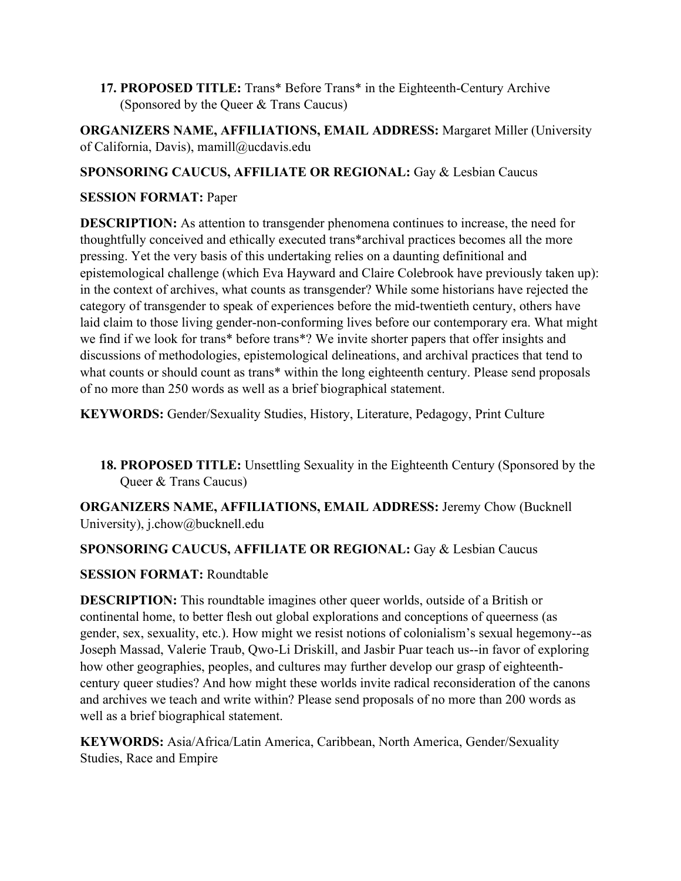**17. PROPOSED TITLE:** Trans\* Before Trans\* in the Eighteenth-Century Archive (Sponsored by the Queer & Trans Caucus)

**ORGANIZERS NAME, AFFILIATIONS, EMAIL ADDRESS:** Margaret Miller (University of California, Davis), mamill@ucdavis.edu

# **SPONSORING CAUCUS, AFFILIATE OR REGIONAL:** Gay & Lesbian Caucus

### **SESSION FORMAT:** Paper

**DESCRIPTION:** As attention to transgender phenomena continues to increase, the need for thoughtfully conceived and ethically executed trans\*archival practices becomes all the more pressing. Yet the very basis of this undertaking relies on a daunting definitional and epistemological challenge (which Eva Hayward and Claire Colebrook have previously taken up): in the context of archives, what counts as transgender? While some historians have rejected the category of transgender to speak of experiences before the mid-twentieth century, others have laid claim to those living gender-non-conforming lives before our contemporary era. What might we find if we look for trans\* before trans\*? We invite shorter papers that offer insights and discussions of methodologies, epistemological delineations, and archival practices that tend to what counts or should count as trans\* within the long eighteenth century. Please send proposals of no more than 250 words as well as a brief biographical statement.

**KEYWORDS:** Gender/Sexuality Studies, History, Literature, Pedagogy, Print Culture

**18. PROPOSED TITLE:** Unsettling Sexuality in the Eighteenth Century (Sponsored by the Queer & Trans Caucus)

**ORGANIZERS NAME, AFFILIATIONS, EMAIL ADDRESS:** Jeremy Chow (Bucknell University), j.chow@bucknell.edu

# **SPONSORING CAUCUS, AFFILIATE OR REGIONAL:** Gay & Lesbian Caucus

# **SESSION FORMAT:** Roundtable

**DESCRIPTION:** This roundtable imagines other queer worlds, outside of a British or continental home, to better flesh out global explorations and conceptions of queerness (as gender, sex, sexuality, etc.). How might we resist notions of colonialism's sexual hegemony--as Joseph Massad, Valerie Traub, Qwo-Li Driskill, and Jasbir Puar teach us--in favor of exploring how other geographies, peoples, and cultures may further develop our grasp of eighteenthcentury queer studies? And how might these worlds invite radical reconsideration of the canons and archives we teach and write within? Please send proposals of no more than 200 words as well as a brief biographical statement.

**KEYWORDS:** Asia/Africa/Latin America, Caribbean, North America, Gender/Sexuality Studies, Race and Empire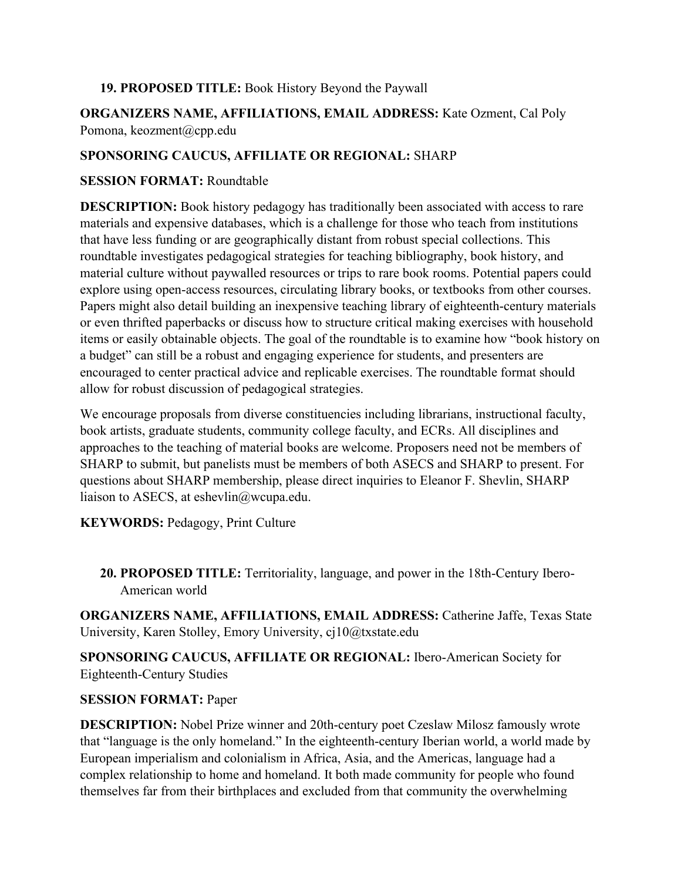#### **19. PROPOSED TITLE:** Book History Beyond the Paywall

**ORGANIZERS NAME, AFFILIATIONS, EMAIL ADDRESS:** Kate Ozment, Cal Poly Pomona, keozment@cpp.edu

### **SPONSORING CAUCUS, AFFILIATE OR REGIONAL:** SHARP

#### **SESSION FORMAT:** Roundtable

**DESCRIPTION:** Book history pedagogy has traditionally been associated with access to rare materials and expensive databases, which is a challenge for those who teach from institutions that have less funding or are geographically distant from robust special collections. This roundtable investigates pedagogical strategies for teaching bibliography, book history, and material culture without paywalled resources or trips to rare book rooms. Potential papers could explore using open-access resources, circulating library books, or textbooks from other courses. Papers might also detail building an inexpensive teaching library of eighteenth-century materials or even thrifted paperbacks or discuss how to structure critical making exercises with household items or easily obtainable objects. The goal of the roundtable is to examine how "book history on a budget" can still be a robust and engaging experience for students, and presenters are encouraged to center practical advice and replicable exercises. The roundtable format should allow for robust discussion of pedagogical strategies.

We encourage proposals from diverse constituencies including librarians, instructional faculty, book artists, graduate students, community college faculty, and ECRs. All disciplines and approaches to the teaching of material books are welcome. Proposers need not be members of SHARP to submit, but panelists must be members of both ASECS and SHARP to present. For questions about SHARP membership, please direct inquiries to Eleanor F. Shevlin, SHARP liaison to ASECS, at eshevlin@wcupa.edu.

**KEYWORDS:** Pedagogy, Print Culture

**20. PROPOSED TITLE:** Territoriality, language, and power in the 18th-Century Ibero-American world

**ORGANIZERS NAME, AFFILIATIONS, EMAIL ADDRESS:** Catherine Jaffe, Texas State University, Karen Stolley, Emory University, cj10@txstate.edu

**SPONSORING CAUCUS, AFFILIATE OR REGIONAL:** Ibero-American Society for Eighteenth-Century Studies

#### **SESSION FORMAT:** Paper

**DESCRIPTION:** Nobel Prize winner and 20th-century poet Czeslaw Milosz famously wrote that "language is the only homeland." In the eighteenth-century Iberian world, a world made by European imperialism and colonialism in Africa, Asia, and the Americas, language had a complex relationship to home and homeland. It both made community for people who found themselves far from their birthplaces and excluded from that community the overwhelming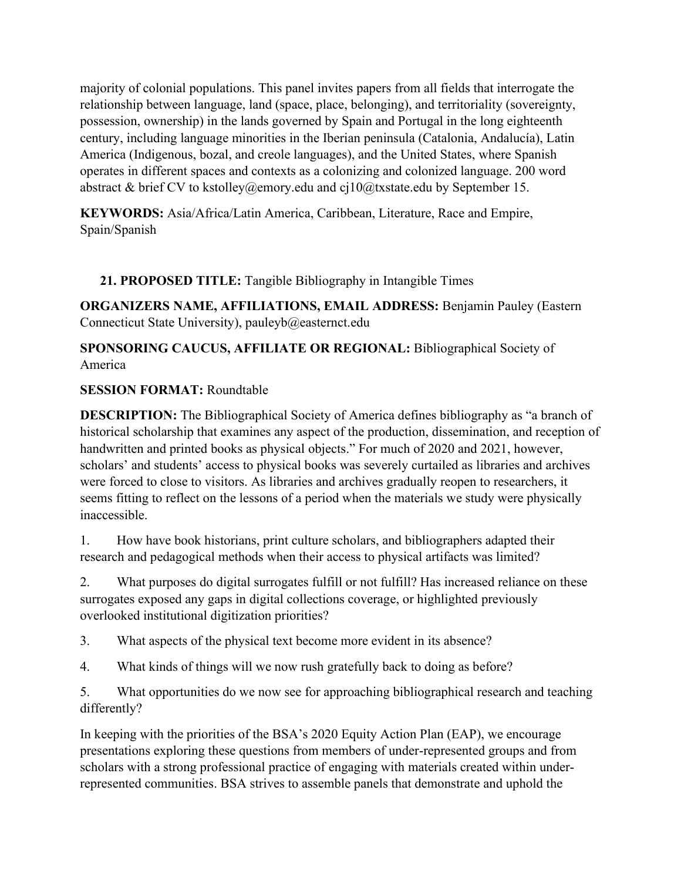majority of colonial populations. This panel invites papers from all fields that interrogate the relationship between language, land (space, place, belonging), and territoriality (sovereignty, possession, ownership) in the lands governed by Spain and Portugal in the long eighteenth century, including language minorities in the Iberian peninsula (Catalonia, Andalucía), Latin America (Indigenous, bozal, and creole languages), and the United States, where Spanish operates in different spaces and contexts as a colonizing and colonized language. 200 word abstract & brief CV to kstolley@emory.edu and cj10@txstate.edu by September 15.

**KEYWORDS:** Asia/Africa/Latin America, Caribbean, Literature, Race and Empire, Spain/Spanish

**21. PROPOSED TITLE:** Tangible Bibliography in Intangible Times

**ORGANIZERS NAME, AFFILIATIONS, EMAIL ADDRESS:** Benjamin Pauley (Eastern Connecticut State University), pauleyb@easternct.edu

**SPONSORING CAUCUS, AFFILIATE OR REGIONAL:** Bibliographical Society of America

# **SESSION FORMAT:** Roundtable

**DESCRIPTION:** The Bibliographical Society of America defines bibliography as "a branch of historical scholarship that examines any aspect of the production, dissemination, and reception of handwritten and printed books as physical objects." For much of 2020 and 2021, however, scholars' and students' access to physical books was severely curtailed as libraries and archives were forced to close to visitors. As libraries and archives gradually reopen to researchers, it seems fitting to reflect on the lessons of a period when the materials we study were physically inaccessible.

1. How have book historians, print culture scholars, and bibliographers adapted their research and pedagogical methods when their access to physical artifacts was limited?

2. What purposes do digital surrogates fulfill or not fulfill? Has increased reliance on these surrogates exposed any gaps in digital collections coverage, or highlighted previously overlooked institutional digitization priorities?

3. What aspects of the physical text become more evident in its absence?

4. What kinds of things will we now rush gratefully back to doing as before?

5. What opportunities do we now see for approaching bibliographical research and teaching differently?

In keeping with the priorities of the BSA's 2020 Equity Action Plan (EAP), we encourage presentations exploring these questions from members of under-represented groups and from scholars with a strong professional practice of engaging with materials created within underrepresented communities. BSA strives to assemble panels that demonstrate and uphold the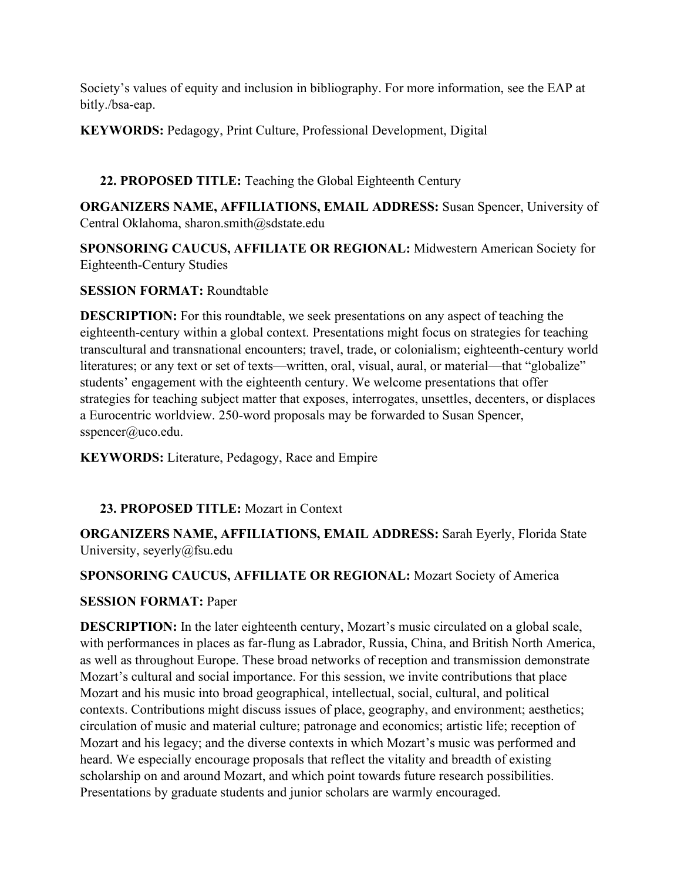Society's values of equity and inclusion in bibliography. For more information, see the EAP at bitly./bsa-eap.

# **KEYWORDS:** Pedagogy, Print Culture, Professional Development, Digital

# **22. PROPOSED TITLE:** Teaching the Global Eighteenth Century

**ORGANIZERS NAME, AFFILIATIONS, EMAIL ADDRESS:** Susan Spencer, University of Central Oklahoma, sharon.smith@sdstate.edu

**SPONSORING CAUCUS, AFFILIATE OR REGIONAL:** Midwestern American Society for Eighteenth-Century Studies

#### **SESSION FORMAT:** Roundtable

**DESCRIPTION:** For this roundtable, we seek presentations on any aspect of teaching the eighteenth-century within a global context. Presentations might focus on strategies for teaching transcultural and transnational encounters; travel, trade, or colonialism; eighteenth-century world literatures; or any text or set of texts—written, oral, visual, aural, or material—that "globalize" students' engagement with the eighteenth century. We welcome presentations that offer strategies for teaching subject matter that exposes, interrogates, unsettles, decenters, or displaces a Eurocentric worldview. 250-word proposals may be forwarded to Susan Spencer, sspencer@uco.edu.

**KEYWORDS:** Literature, Pedagogy, Race and Empire

#### **23. PROPOSED TITLE:** Mozart in Context

**ORGANIZERS NAME, AFFILIATIONS, EMAIL ADDRESS:** Sarah Eyerly, Florida State University, seyerly@fsu.edu

### **SPONSORING CAUCUS, AFFILIATE OR REGIONAL:** Mozart Society of America

#### **SESSION FORMAT:** Paper

**DESCRIPTION:** In the later eighteenth century, Mozart's music circulated on a global scale, with performances in places as far-flung as Labrador, Russia, China, and British North America, as well as throughout Europe. These broad networks of reception and transmission demonstrate Mozart's cultural and social importance. For this session, we invite contributions that place Mozart and his music into broad geographical, intellectual, social, cultural, and political contexts. Contributions might discuss issues of place, geography, and environment; aesthetics; circulation of music and material culture; patronage and economics; artistic life; reception of Mozart and his legacy; and the diverse contexts in which Mozart's music was performed and heard. We especially encourage proposals that reflect the vitality and breadth of existing scholarship on and around Mozart, and which point towards future research possibilities. Presentations by graduate students and junior scholars are warmly encouraged.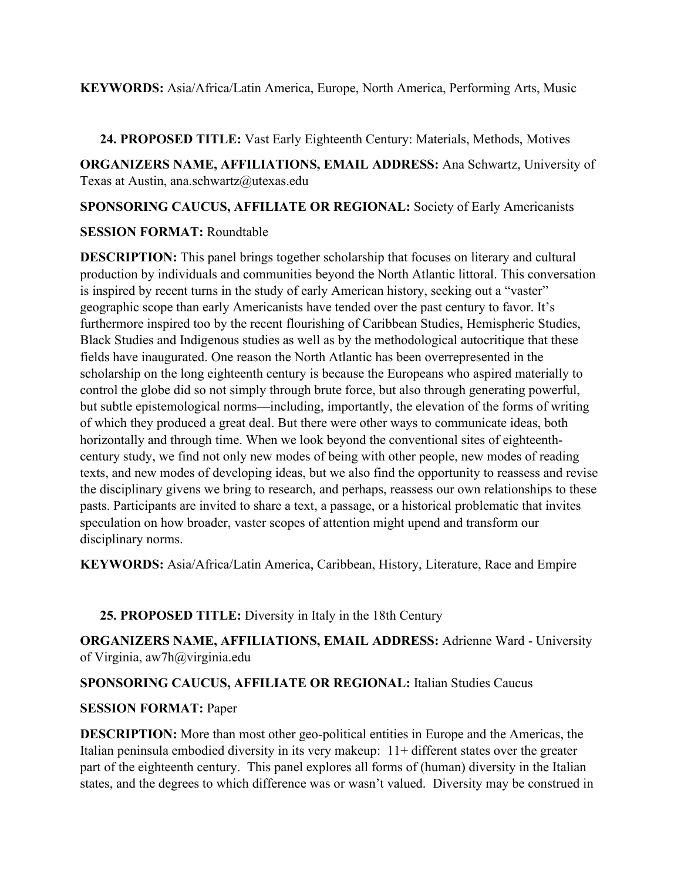#### **KEYWORDS:** Asia/Africa/Latin America, Europe, North America, Performing Arts, Music

**24. PROPOSED TITLE:** Vast Early Eighteenth Century: Materials, Methods, Motives

**ORGANIZERS NAME, AFFILIATIONS, EMAIL ADDRESS:** Ana Schwartz, University of Texas at Austin, ana.schwartz@utexas.edu

**SPONSORING CAUCUS, AFFILIATE OR REGIONAL:** Society of Early Americanists

### **SESSION FORMAT:** Roundtable

**DESCRIPTION:** This panel brings together scholarship that focuses on literary and cultural production by individuals and communities beyond the North Atlantic littoral. This conversation is inspired by recent turns in the study of early American history, seeking out a "vaster" geographic scope than early Americanists have tended over the past century to favor. It's furthermore inspired too by the recent flourishing of Caribbean Studies, Hemispheric Studies, Black Studies and Indigenous studies as well as by the methodological autocritique that these fields have inaugurated. One reason the North Atlantic has been overrepresented in the scholarship on the long eighteenth century is because the Europeans who aspired materially to control the globe did so not simply through brute force, but also through generating powerful, but subtle epistemological norms—including, importantly, the elevation of the forms of writing of which they produced a great deal. But there were other ways to communicate ideas, both horizontally and through time. When we look beyond the conventional sites of eighteenthcentury study, we find not only new modes of being with other people, new modes of reading texts, and new modes of developing ideas, but we also find the opportunity to reassess and revise the disciplinary givens we bring to research, and perhaps, reassess our own relationships to these pasts. Participants are invited to share a text, a passage, or a historical problematic that invites speculation on how broader, vaster scopes of attention might upend and transform our disciplinary norms.

**KEYWORDS:** Asia/Africa/Latin America, Caribbean, History, Literature, Race and Empire

# **25. PROPOSED TITLE:** Diversity in Italy in the 18th Century

**ORGANIZERS NAME, AFFILIATIONS, EMAIL ADDRESS:** Adrienne Ward - University of Virginia, aw7h@virginia.edu

# **SPONSORING CAUCUS, AFFILIATE OR REGIONAL:** Italian Studies Caucus

# **SESSION FORMAT:** Paper

**DESCRIPTION:** More than most other geo-political entities in Europe and the Americas, the Italian peninsula embodied diversity in its very makeup: 11+ different states over the greater part of the eighteenth century. This panel explores all forms of (human) diversity in the Italian states, and the degrees to which difference was or wasn't valued. Diversity may be construed in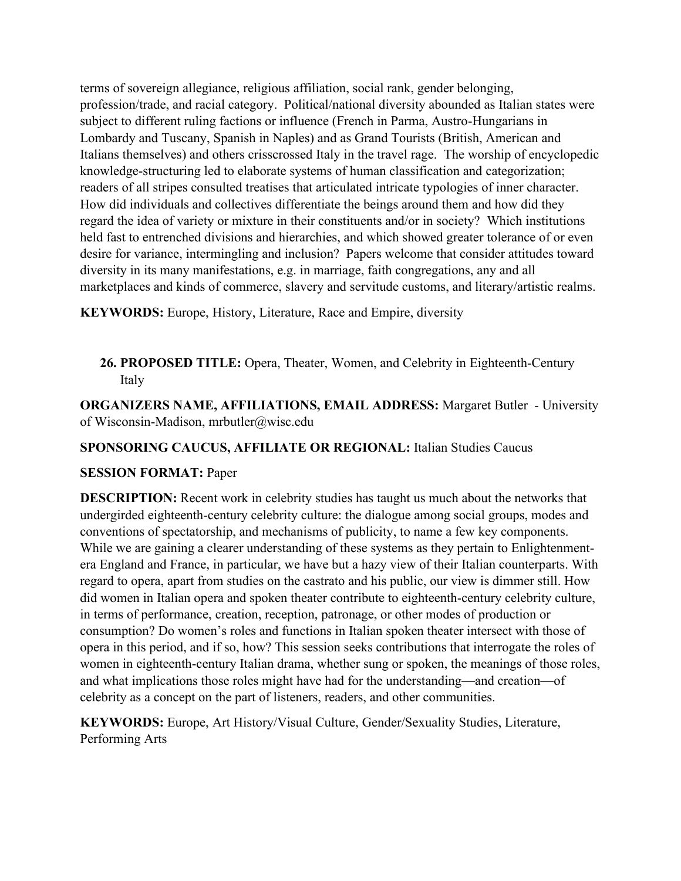terms of sovereign allegiance, religious affiliation, social rank, gender belonging, profession/trade, and racial category. Political/national diversity abounded as Italian states were subject to different ruling factions or influence (French in Parma, Austro-Hungarians in Lombardy and Tuscany, Spanish in Naples) and as Grand Tourists (British, American and Italians themselves) and others crisscrossed Italy in the travel rage. The worship of encyclopedic knowledge-structuring led to elaborate systems of human classification and categorization; readers of all stripes consulted treatises that articulated intricate typologies of inner character. How did individuals and collectives differentiate the beings around them and how did they regard the idea of variety or mixture in their constituents and/or in society? Which institutions held fast to entrenched divisions and hierarchies, and which showed greater tolerance of or even desire for variance, intermingling and inclusion? Papers welcome that consider attitudes toward diversity in its many manifestations, e.g. in marriage, faith congregations, any and all marketplaces and kinds of commerce, slavery and servitude customs, and literary/artistic realms.

**KEYWORDS:** Europe, History, Literature, Race and Empire, diversity

**26. PROPOSED TITLE:** Opera, Theater, Women, and Celebrity in Eighteenth-Century Italy

**ORGANIZERS NAME, AFFILIATIONS, EMAIL ADDRESS:** Margaret Butler - University of Wisconsin-Madison, mrbutler@wisc.edu

**SPONSORING CAUCUS, AFFILIATE OR REGIONAL:** Italian Studies Caucus

# **SESSION FORMAT:** Paper

**DESCRIPTION:** Recent work in celebrity studies has taught us much about the networks that undergirded eighteenth-century celebrity culture: the dialogue among social groups, modes and conventions of spectatorship, and mechanisms of publicity, to name a few key components. While we are gaining a clearer understanding of these systems as they pertain to Enlightenmentera England and France, in particular, we have but a hazy view of their Italian counterparts. With regard to opera, apart from studies on the castrato and his public, our view is dimmer still. How did women in Italian opera and spoken theater contribute to eighteenth-century celebrity culture, in terms of performance, creation, reception, patronage, or other modes of production or consumption? Do women's roles and functions in Italian spoken theater intersect with those of opera in this period, and if so, how? This session seeks contributions that interrogate the roles of women in eighteenth-century Italian drama, whether sung or spoken, the meanings of those roles, and what implications those roles might have had for the understanding—and creation—of celebrity as a concept on the part of listeners, readers, and other communities.

**KEYWORDS:** Europe, Art History/Visual Culture, Gender/Sexuality Studies, Literature, Performing Arts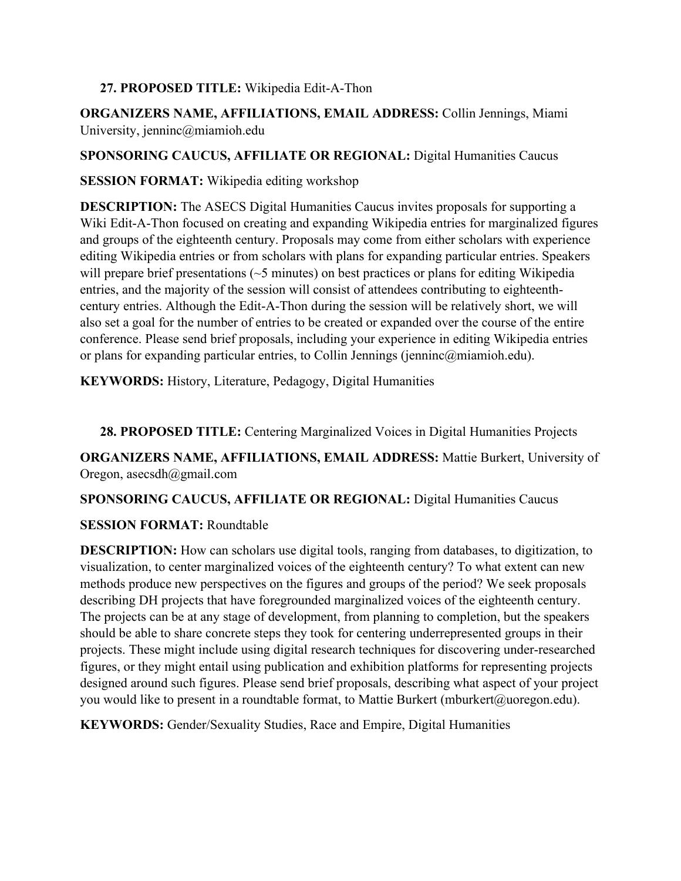#### **27. PROPOSED TITLE:** Wikipedia Edit-A-Thon

**ORGANIZERS NAME, AFFILIATIONS, EMAIL ADDRESS:** Collin Jennings, Miami University, jenninc@miamioh.edu

**SPONSORING CAUCUS, AFFILIATE OR REGIONAL:** Digital Humanities Caucus

**SESSION FORMAT:** Wikipedia editing workshop

**DESCRIPTION:** The ASECS Digital Humanities Caucus invites proposals for supporting a Wiki Edit-A-Thon focused on creating and expanding Wikipedia entries for marginalized figures and groups of the eighteenth century. Proposals may come from either scholars with experience editing Wikipedia entries or from scholars with plans for expanding particular entries. Speakers will prepare brief presentations ( $\sim$ 5 minutes) on best practices or plans for editing Wikipedia entries, and the majority of the session will consist of attendees contributing to eighteenthcentury entries. Although the Edit-A-Thon during the session will be relatively short, we will also set a goal for the number of entries to be created or expanded over the course of the entire conference. Please send brief proposals, including your experience in editing Wikipedia entries or plans for expanding particular entries, to Collin Jennings (jenninc@miamioh.edu).

**KEYWORDS:** History, Literature, Pedagogy, Digital Humanities

**28. PROPOSED TITLE:** Centering Marginalized Voices in Digital Humanities Projects

**ORGANIZERS NAME, AFFILIATIONS, EMAIL ADDRESS:** Mattie Burkert, University of Oregon, asecsdh@gmail.com

**SPONSORING CAUCUS, AFFILIATE OR REGIONAL:** Digital Humanities Caucus

# **SESSION FORMAT:** Roundtable

**DESCRIPTION:** How can scholars use digital tools, ranging from databases, to digitization, to visualization, to center marginalized voices of the eighteenth century? To what extent can new methods produce new perspectives on the figures and groups of the period? We seek proposals describing DH projects that have foregrounded marginalized voices of the eighteenth century. The projects can be at any stage of development, from planning to completion, but the speakers should be able to share concrete steps they took for centering underrepresented groups in their projects. These might include using digital research techniques for discovering under-researched figures, or they might entail using publication and exhibition platforms for representing projects designed around such figures. Please send brief proposals, describing what aspect of your project you would like to present in a roundtable format, to Mattie Burkert (mburkert@uoregon.edu).

**KEYWORDS:** Gender/Sexuality Studies, Race and Empire, Digital Humanities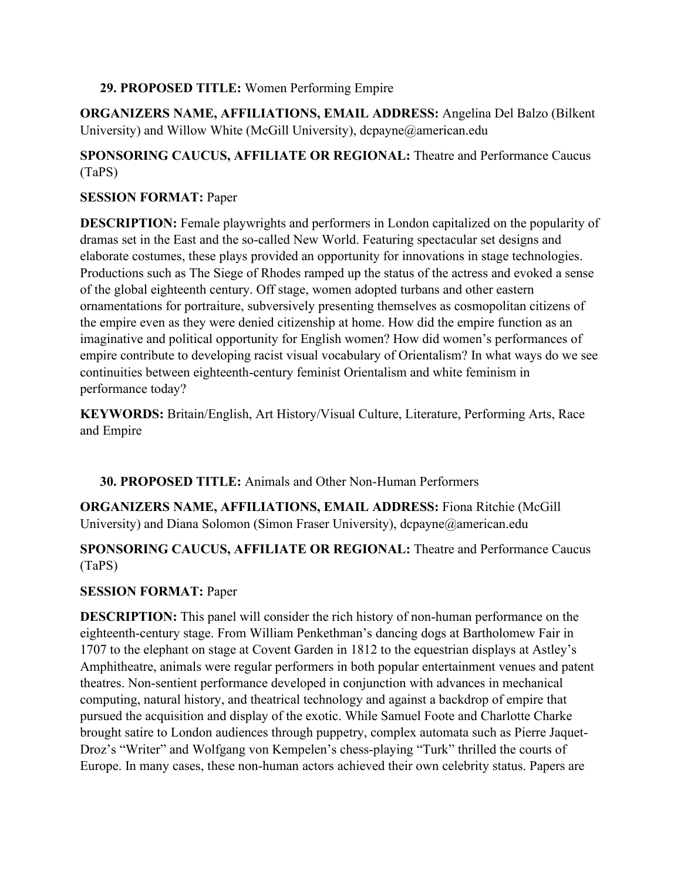#### **29. PROPOSED TITLE:** Women Performing Empire

**ORGANIZERS NAME, AFFILIATIONS, EMAIL ADDRESS:** Angelina Del Balzo (Bilkent University) and Willow White (McGill University), dcpayne@american.edu

# **SPONSORING CAUCUS, AFFILIATE OR REGIONAL:** Theatre and Performance Caucus (TaPS)

### **SESSION FORMAT:** Paper

**DESCRIPTION:** Female playwrights and performers in London capitalized on the popularity of dramas set in the East and the so-called New World. Featuring spectacular set designs and elaborate costumes, these plays provided an opportunity for innovations in stage technologies. Productions such as The Siege of Rhodes ramped up the status of the actress and evoked a sense of the global eighteenth century. Off stage, women adopted turbans and other eastern ornamentations for portraiture, subversively presenting themselves as cosmopolitan citizens of the empire even as they were denied citizenship at home. How did the empire function as an imaginative and political opportunity for English women? How did women's performances of empire contribute to developing racist visual vocabulary of Orientalism? In what ways do we see continuities between eighteenth-century feminist Orientalism and white feminism in performance today?

**KEYWORDS:** Britain/English, Art History/Visual Culture, Literature, Performing Arts, Race and Empire

#### **30. PROPOSED TITLE:** Animals and Other Non-Human Performers

**ORGANIZERS NAME, AFFILIATIONS, EMAIL ADDRESS:** Fiona Ritchie (McGill University) and Diana Solomon (Simon Fraser University), dcpayne@american.edu

# **SPONSORING CAUCUS, AFFILIATE OR REGIONAL:** Theatre and Performance Caucus (TaPS)

# **SESSION FORMAT:** Paper

**DESCRIPTION:** This panel will consider the rich history of non-human performance on the eighteenth-century stage. From William Penkethman's dancing dogs at Bartholomew Fair in 1707 to the elephant on stage at Covent Garden in 1812 to the equestrian displays at Astley's Amphitheatre, animals were regular performers in both popular entertainment venues and patent theatres. Non-sentient performance developed in conjunction with advances in mechanical computing, natural history, and theatrical technology and against a backdrop of empire that pursued the acquisition and display of the exotic. While Samuel Foote and Charlotte Charke brought satire to London audiences through puppetry, complex automata such as Pierre Jaquet-Droz's "Writer" and Wolfgang von Kempelen's chess-playing "Turk" thrilled the courts of Europe. In many cases, these non-human actors achieved their own celebrity status. Papers are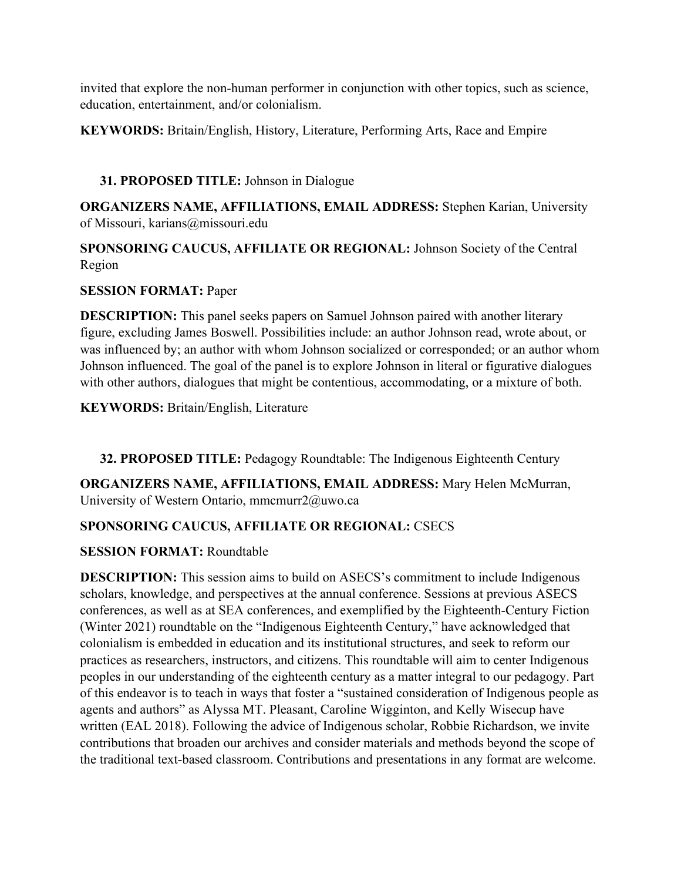invited that explore the non-human performer in conjunction with other topics, such as science, education, entertainment, and/or colonialism.

**KEYWORDS:** Britain/English, History, Literature, Performing Arts, Race and Empire

# **31. PROPOSED TITLE:** Johnson in Dialogue

**ORGANIZERS NAME, AFFILIATIONS, EMAIL ADDRESS:** Stephen Karian, University of Missouri, karians@missouri.edu

**SPONSORING CAUCUS, AFFILIATE OR REGIONAL:** Johnson Society of the Central Region

### **SESSION FORMAT:** Paper

**DESCRIPTION:** This panel seeks papers on Samuel Johnson paired with another literary figure, excluding James Boswell. Possibilities include: an author Johnson read, wrote about, or was influenced by; an author with whom Johnson socialized or corresponded; or an author whom Johnson influenced. The goal of the panel is to explore Johnson in literal or figurative dialogues with other authors, dialogues that might be contentious, accommodating, or a mixture of both.

**KEYWORDS:** Britain/English, Literature

**32. PROPOSED TITLE:** Pedagogy Roundtable: The Indigenous Eighteenth Century

**ORGANIZERS NAME, AFFILIATIONS, EMAIL ADDRESS:** Mary Helen McMurran, University of Western Ontario, mmcmurr2@uwo.ca

# **SPONSORING CAUCUS, AFFILIATE OR REGIONAL:** CSECS

# **SESSION FORMAT:** Roundtable

**DESCRIPTION:** This session aims to build on ASECS's commitment to include Indigenous scholars, knowledge, and perspectives at the annual conference. Sessions at previous ASECS conferences, as well as at SEA conferences, and exemplified by the Eighteenth-Century Fiction (Winter 2021) roundtable on the "Indigenous Eighteenth Century," have acknowledged that colonialism is embedded in education and its institutional structures, and seek to reform our practices as researchers, instructors, and citizens. This roundtable will aim to center Indigenous peoples in our understanding of the eighteenth century as a matter integral to our pedagogy. Part of this endeavor is to teach in ways that foster a "sustained consideration of Indigenous people as agents and authors" as Alyssa MT. Pleasant, Caroline Wigginton, and Kelly Wisecup have written (EAL 2018). Following the advice of Indigenous scholar, Robbie Richardson, we invite contributions that broaden our archives and consider materials and methods beyond the scope of the traditional text-based classroom. Contributions and presentations in any format are welcome.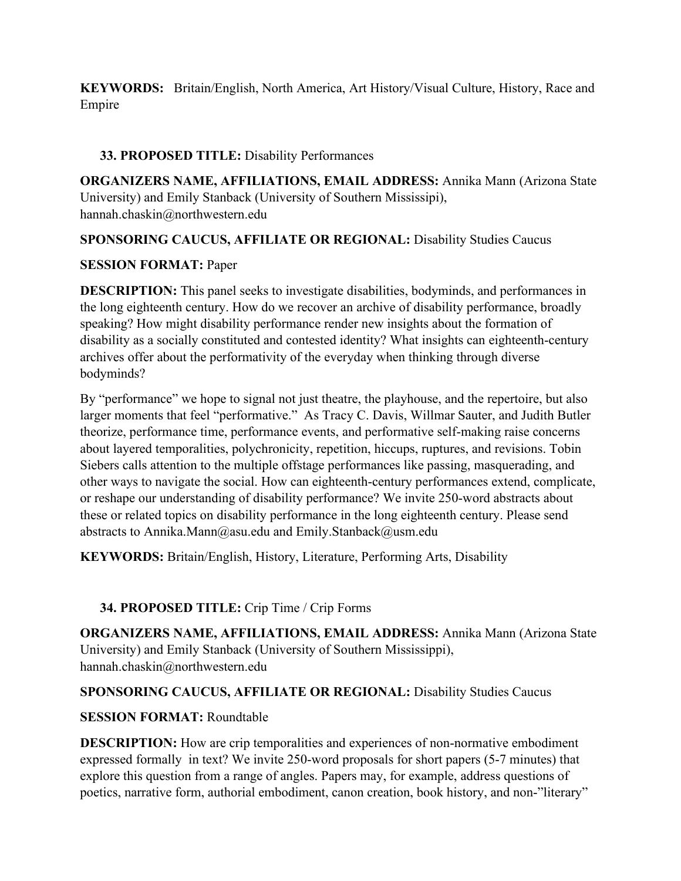**KEYWORDS:** Britain/English, North America, Art History/Visual Culture, History, Race and Empire

### **33. PROPOSED TITLE:** Disability Performances

**ORGANIZERS NAME, AFFILIATIONS, EMAIL ADDRESS:** Annika Mann (Arizona State University) and Emily Stanback (University of Southern Mississipi), hannah.chaskin@northwestern.edu

### **SPONSORING CAUCUS, AFFILIATE OR REGIONAL:** Disability Studies Caucus

#### **SESSION FORMAT:** Paper

**DESCRIPTION:** This panel seeks to investigate disabilities, bodyminds, and performances in the long eighteenth century. How do we recover an archive of disability performance, broadly speaking? How might disability performance render new insights about the formation of disability as a socially constituted and contested identity? What insights can eighteenth-century archives offer about the performativity of the everyday when thinking through diverse bodyminds?

By "performance" we hope to signal not just theatre, the playhouse, and the repertoire, but also larger moments that feel "performative." As Tracy C. Davis, Willmar Sauter, and Judith Butler theorize, performance time, performance events, and performative self-making raise concerns about layered temporalities, polychronicity, repetition, hiccups, ruptures, and revisions. Tobin Siebers calls attention to the multiple offstage performances like passing, masquerading, and other ways to navigate the social. How can eighteenth-century performances extend, complicate, or reshape our understanding of disability performance? We invite 250-word abstracts about these or related topics on disability performance in the long eighteenth century. Please send abstracts to Annika.Mann@asu.edu and Emily.Stanback@usm.edu

**KEYWORDS:** Britain/English, History, Literature, Performing Arts, Disability

# **34. PROPOSED TITLE:** Crip Time / Crip Forms

**ORGANIZERS NAME, AFFILIATIONS, EMAIL ADDRESS:** Annika Mann (Arizona State University) and Emily Stanback (University of Southern Mississippi), hannah.chaskin@northwestern.edu

# **SPONSORING CAUCUS, AFFILIATE OR REGIONAL:** Disability Studies Caucus

# **SESSION FORMAT:** Roundtable

**DESCRIPTION:** How are crip temporalities and experiences of non-normative embodiment expressed formally in text? We invite 250-word proposals for short papers (5-7 minutes) that explore this question from a range of angles. Papers may, for example, address questions of poetics, narrative form, authorial embodiment, canon creation, book history, and non-"literary"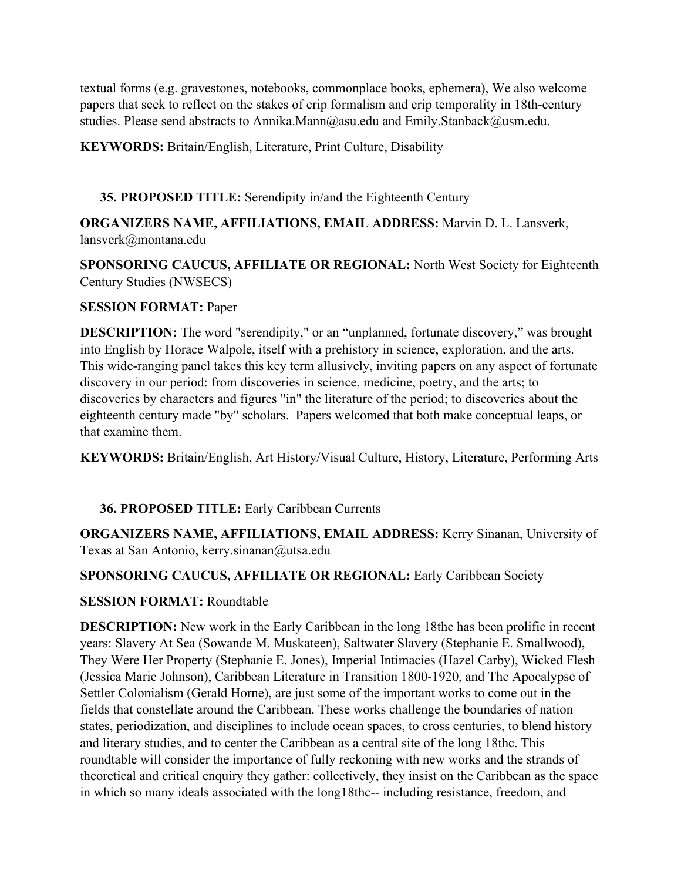textual forms (e.g. gravestones, notebooks, commonplace books, ephemera), We also welcome papers that seek to reflect on the stakes of crip formalism and crip temporality in 18th-century studies. Please send abstracts to Annika.Mann@asu.edu and Emily.Stanback@usm.edu.

**KEYWORDS:** Britain/English, Literature, Print Culture, Disability

### **35. PROPOSED TITLE:** Serendipity in/and the Eighteenth Century

**ORGANIZERS NAME, AFFILIATIONS, EMAIL ADDRESS:** Marvin D. L. Lansverk, lansverk@montana.edu

**SPONSORING CAUCUS, AFFILIATE OR REGIONAL:** North West Society for Eighteenth Century Studies (NWSECS)

#### **SESSION FORMAT:** Paper

**DESCRIPTION:** The word "serendipity," or an "unplanned, fortunate discovery," was brought into English by Horace Walpole, itself with a prehistory in science, exploration, and the arts. This wide-ranging panel takes this key term allusively, inviting papers on any aspect of fortunate discovery in our period: from discoveries in science, medicine, poetry, and the arts; to discoveries by characters and figures "in" the literature of the period; to discoveries about the eighteenth century made "by" scholars. Papers welcomed that both make conceptual leaps, or that examine them.

**KEYWORDS:** Britain/English, Art History/Visual Culture, History, Literature, Performing Arts

# **36. PROPOSED TITLE:** Early Caribbean Currents

**ORGANIZERS NAME, AFFILIATIONS, EMAIL ADDRESS:** Kerry Sinanan, University of Texas at San Antonio, kerry.sinanan@utsa.edu

#### **SPONSORING CAUCUS, AFFILIATE OR REGIONAL:** Early Caribbean Society

#### **SESSION FORMAT:** Roundtable

**DESCRIPTION:** New work in the Early Caribbean in the long 18thc has been prolific in recent years: Slavery At Sea (Sowande M. Muskateen), Saltwater Slavery (Stephanie E. Smallwood), They Were Her Property (Stephanie E. Jones), Imperial Intimacies (Hazel Carby), Wicked Flesh (Jessica Marie Johnson), Caribbean Literature in Transition 1800-1920, and The Apocalypse of Settler Colonialism (Gerald Horne), are just some of the important works to come out in the fields that constellate around the Caribbean. These works challenge the boundaries of nation states, periodization, and disciplines to include ocean spaces, to cross centuries, to blend history and literary studies, and to center the Caribbean as a central site of the long 18thc. This roundtable will consider the importance of fully reckoning with new works and the strands of theoretical and critical enquiry they gather: collectively, they insist on the Caribbean as the space in which so many ideals associated with the long18thc-- including resistance, freedom, and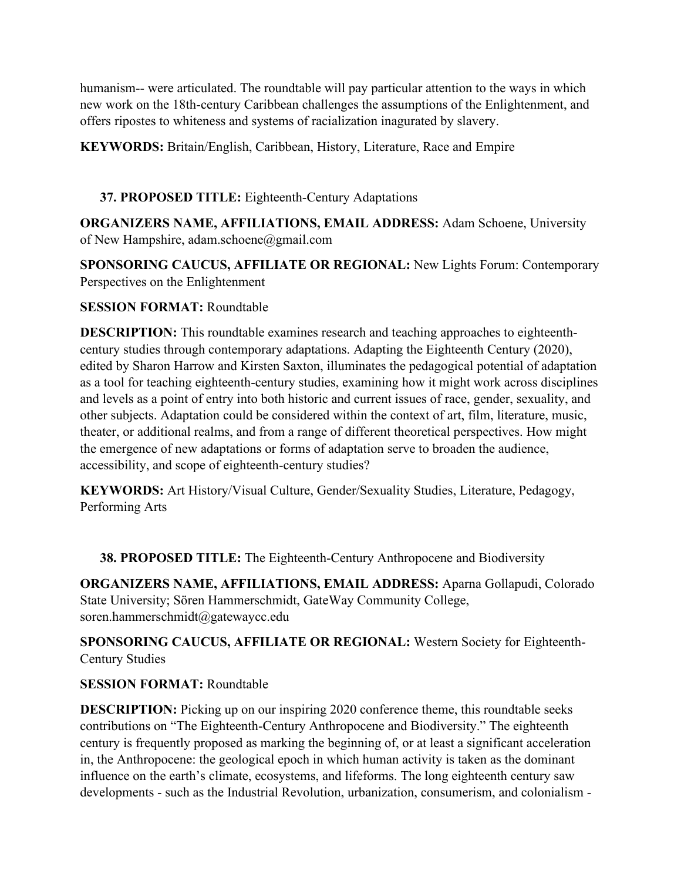humanism-- were articulated. The roundtable will pay particular attention to the ways in which new work on the 18th-century Caribbean challenges the assumptions of the Enlightenment, and offers ripostes to whiteness and systems of racialization inagurated by slavery.

**KEYWORDS:** Britain/English, Caribbean, History, Literature, Race and Empire

### **37. PROPOSED TITLE:** Eighteenth-Century Adaptations

**ORGANIZERS NAME, AFFILIATIONS, EMAIL ADDRESS:** Adam Schoene, University of New Hampshire, adam.schoene@gmail.com

**SPONSORING CAUCUS, AFFILIATE OR REGIONAL:** New Lights Forum: Contemporary Perspectives on the Enlightenment

#### **SESSION FORMAT:** Roundtable

**DESCRIPTION:** This roundtable examines research and teaching approaches to eighteenthcentury studies through contemporary adaptations. Adapting the Eighteenth Century (2020), edited by Sharon Harrow and Kirsten Saxton, illuminates the pedagogical potential of adaptation as a tool for teaching eighteenth-century studies, examining how it might work across disciplines and levels as a point of entry into both historic and current issues of race, gender, sexuality, and other subjects. Adaptation could be considered within the context of art, film, literature, music, theater, or additional realms, and from a range of different theoretical perspectives. How might the emergence of new adaptations or forms of adaptation serve to broaden the audience, accessibility, and scope of eighteenth-century studies?

**KEYWORDS:** Art History/Visual Culture, Gender/Sexuality Studies, Literature, Pedagogy, Performing Arts

**38. PROPOSED TITLE:** The Eighteenth-Century Anthropocene and Biodiversity

**ORGANIZERS NAME, AFFILIATIONS, EMAIL ADDRESS:** Aparna Gollapudi, Colorado State University; Sören Hammerschmidt, GateWay Community College, soren.hammerschmidt@gatewaycc.edu

**SPONSORING CAUCUS, AFFILIATE OR REGIONAL:** Western Society for Eighteenth-Century Studies

#### **SESSION FORMAT:** Roundtable

**DESCRIPTION:** Picking up on our inspiring 2020 conference theme, this roundtable seeks contributions on "The Eighteenth-Century Anthropocene and Biodiversity." The eighteenth century is frequently proposed as marking the beginning of, or at least a significant acceleration in, the Anthropocene: the geological epoch in which human activity is taken as the dominant influence on the earth's climate, ecosystems, and lifeforms. The long eighteenth century saw developments - such as the Industrial Revolution, urbanization, consumerism, and colonialism -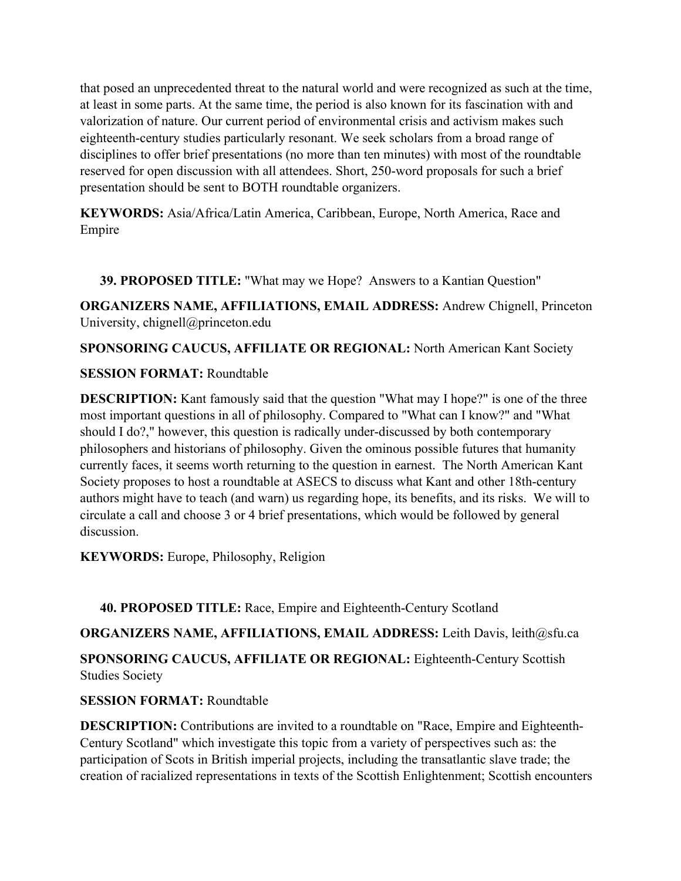that posed an unprecedented threat to the natural world and were recognized as such at the time, at least in some parts. At the same time, the period is also known for its fascination with and valorization of nature. Our current period of environmental crisis and activism makes such eighteenth-century studies particularly resonant. We seek scholars from a broad range of disciplines to offer brief presentations (no more than ten minutes) with most of the roundtable reserved for open discussion with all attendees. Short, 250-word proposals for such a brief presentation should be sent to BOTH roundtable organizers.

**KEYWORDS:** Asia/Africa/Latin America, Caribbean, Europe, North America, Race and Empire

**39. PROPOSED TITLE:** "What may we Hope? Answers to a Kantian Question"

**ORGANIZERS NAME, AFFILIATIONS, EMAIL ADDRESS:** Andrew Chignell, Princeton University, chignell@princeton.edu

**SPONSORING CAUCUS, AFFILIATE OR REGIONAL:** North American Kant Society

# **SESSION FORMAT:** Roundtable

**DESCRIPTION:** Kant famously said that the question "What may I hope?" is one of the three most important questions in all of philosophy. Compared to "What can I know?" and "What should I do?," however, this question is radically under-discussed by both contemporary philosophers and historians of philosophy. Given the ominous possible futures that humanity currently faces, it seems worth returning to the question in earnest. The North American Kant Society proposes to host a roundtable at ASECS to discuss what Kant and other 18th-century authors might have to teach (and warn) us regarding hope, its benefits, and its risks. We will to circulate a call and choose 3 or 4 brief presentations, which would be followed by general discussion.

**KEYWORDS:** Europe, Philosophy, Religion

**40. PROPOSED TITLE:** Race, Empire and Eighteenth-Century Scotland

**ORGANIZERS NAME, AFFILIATIONS, EMAIL ADDRESS:** Leith Davis, leith@sfu.ca

**SPONSORING CAUCUS, AFFILIATE OR REGIONAL:** Eighteenth-Century Scottish Studies Society

# **SESSION FORMAT:** Roundtable

**DESCRIPTION:** Contributions are invited to a roundtable on "Race, Empire and Eighteenth-Century Scotland" which investigate this topic from a variety of perspectives such as: the participation of Scots in British imperial projects, including the transatlantic slave trade; the creation of racialized representations in texts of the Scottish Enlightenment; Scottish encounters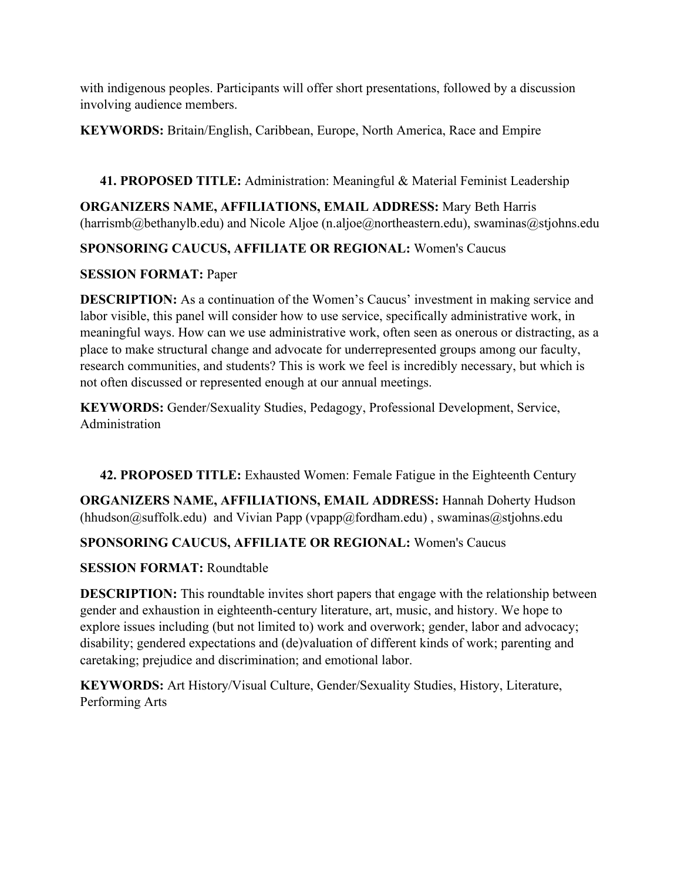with indigenous peoples. Participants will offer short presentations, followed by a discussion involving audience members.

**KEYWORDS:** Britain/English, Caribbean, Europe, North America, Race and Empire

**41. PROPOSED TITLE:** Administration: Meaningful & Material Feminist Leadership

**ORGANIZERS NAME, AFFILIATIONS, EMAIL ADDRESS:** Mary Beth Harris (harrismb@bethanylb.edu) and Nicole Aljoe (n.aljoe@northeastern.edu), swaminas@stjohns.edu

# **SPONSORING CAUCUS, AFFILIATE OR REGIONAL:** Women's Caucus

# **SESSION FORMAT:** Paper

**DESCRIPTION:** As a continuation of the Women's Caucus' investment in making service and labor visible, this panel will consider how to use service, specifically administrative work, in meaningful ways. How can we use administrative work, often seen as onerous or distracting, as a place to make structural change and advocate for underrepresented groups among our faculty, research communities, and students? This is work we feel is incredibly necessary, but which is not often discussed or represented enough at our annual meetings.

**KEYWORDS:** Gender/Sexuality Studies, Pedagogy, Professional Development, Service, Administration

**42. PROPOSED TITLE:** Exhausted Women: Female Fatigue in the Eighteenth Century

**ORGANIZERS NAME, AFFILIATIONS, EMAIL ADDRESS:** Hannah Doherty Hudson  $(hhudson@suffolk.edu)$  and Vivian Papp (vpapp@fordham.edu), swaminas@stjohns.edu

# **SPONSORING CAUCUS, AFFILIATE OR REGIONAL:** Women's Caucus

# **SESSION FORMAT:** Roundtable

**DESCRIPTION:** This roundtable invites short papers that engage with the relationship between gender and exhaustion in eighteenth-century literature, art, music, and history. We hope to explore issues including (but not limited to) work and overwork; gender, labor and advocacy; disability; gendered expectations and (de)valuation of different kinds of work; parenting and caretaking; prejudice and discrimination; and emotional labor.

**KEYWORDS:** Art History/Visual Culture, Gender/Sexuality Studies, History, Literature, Performing Arts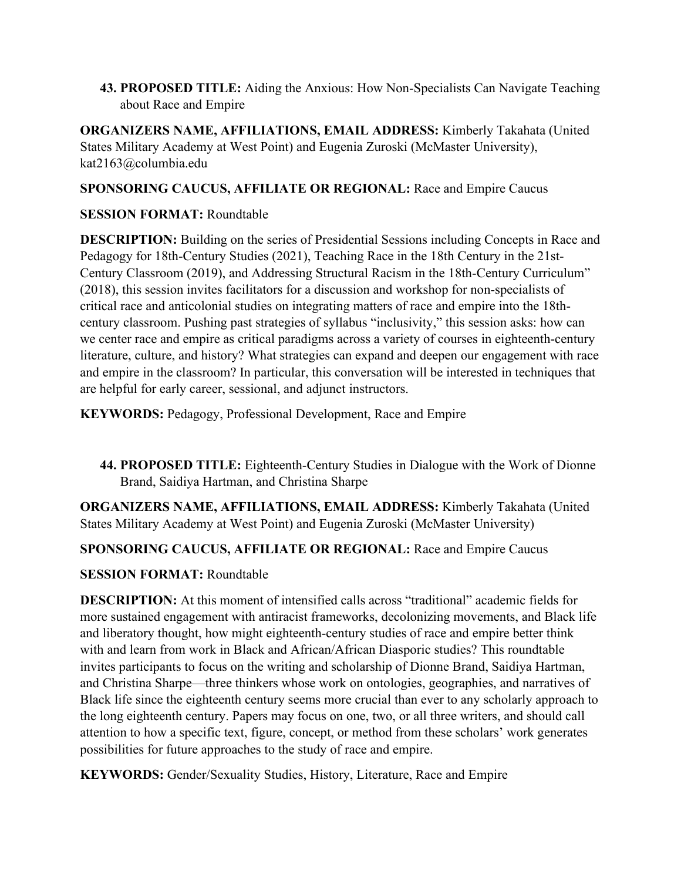**43. PROPOSED TITLE:** Aiding the Anxious: How Non-Specialists Can Navigate Teaching about Race and Empire

**ORGANIZERS NAME, AFFILIATIONS, EMAIL ADDRESS:** Kimberly Takahata (United States Military Academy at West Point) and Eugenia Zuroski (McMaster University), kat2163@columbia.edu

### **SPONSORING CAUCUS, AFFILIATE OR REGIONAL:** Race and Empire Caucus

### **SESSION FORMAT:** Roundtable

**DESCRIPTION:** Building on the series of Presidential Sessions including Concepts in Race and Pedagogy for 18th-Century Studies (2021), Teaching Race in the 18th Century in the 21st-Century Classroom (2019), and Addressing Structural Racism in the 18th-Century Curriculum" (2018), this session invites facilitators for a discussion and workshop for non-specialists of critical race and anticolonial studies on integrating matters of race and empire into the 18thcentury classroom. Pushing past strategies of syllabus "inclusivity," this session asks: how can we center race and empire as critical paradigms across a variety of courses in eighteenth-century literature, culture, and history? What strategies can expand and deepen our engagement with race and empire in the classroom? In particular, this conversation will be interested in techniques that are helpful for early career, sessional, and adjunct instructors.

**KEYWORDS:** Pedagogy, Professional Development, Race and Empire

**44. PROPOSED TITLE:** Eighteenth-Century Studies in Dialogue with the Work of Dionne Brand, Saidiya Hartman, and Christina Sharpe

**ORGANIZERS NAME, AFFILIATIONS, EMAIL ADDRESS:** Kimberly Takahata (United States Military Academy at West Point) and Eugenia Zuroski (McMaster University)

# **SPONSORING CAUCUS, AFFILIATE OR REGIONAL:** Race and Empire Caucus

# **SESSION FORMAT:** Roundtable

**DESCRIPTION:** At this moment of intensified calls across "traditional" academic fields for more sustained engagement with antiracist frameworks, decolonizing movements, and Black life and liberatory thought, how might eighteenth-century studies of race and empire better think with and learn from work in Black and African/African Diasporic studies? This roundtable invites participants to focus on the writing and scholarship of Dionne Brand, Saidiya Hartman, and Christina Sharpe—three thinkers whose work on ontologies, geographies, and narratives of Black life since the eighteenth century seems more crucial than ever to any scholarly approach to the long eighteenth century. Papers may focus on one, two, or all three writers, and should call attention to how a specific text, figure, concept, or method from these scholars' work generates possibilities for future approaches to the study of race and empire.

**KEYWORDS:** Gender/Sexuality Studies, History, Literature, Race and Empire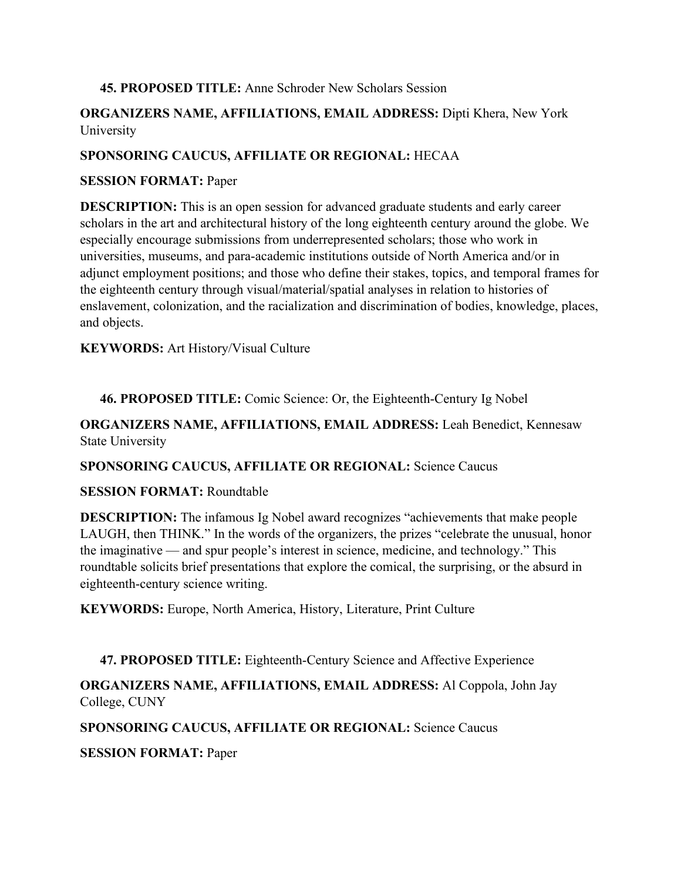#### **45. PROPOSED TITLE:** Anne Schroder New Scholars Session

### **ORGANIZERS NAME, AFFILIATIONS, EMAIL ADDRESS:** Dipti Khera, New York University

### **SPONSORING CAUCUS, AFFILIATE OR REGIONAL:** HECAA

#### **SESSION FORMAT:** Paper

**DESCRIPTION:** This is an open session for advanced graduate students and early career scholars in the art and architectural history of the long eighteenth century around the globe. We especially encourage submissions from underrepresented scholars; those who work in universities, museums, and para-academic institutions outside of North America and/or in adjunct employment positions; and those who define their stakes, topics, and temporal frames for the eighteenth century through visual/material/spatial analyses in relation to histories of enslavement, colonization, and the racialization and discrimination of bodies, knowledge, places, and objects.

**KEYWORDS:** Art History/Visual Culture

**46. PROPOSED TITLE:** Comic Science: Or, the Eighteenth-Century Ig Nobel

**ORGANIZERS NAME, AFFILIATIONS, EMAIL ADDRESS:** Leah Benedict, Kennesaw State University

**SPONSORING CAUCUS, AFFILIATE OR REGIONAL:** Science Caucus

#### **SESSION FORMAT:** Roundtable

**DESCRIPTION:** The infamous Ig Nobel award recognizes "achievements that make people LAUGH, then THINK." In the words of the organizers, the prizes "celebrate the unusual, honor the imaginative — and spur people's interest in science, medicine, and technology." This roundtable solicits brief presentations that explore the comical, the surprising, or the absurd in eighteenth-century science writing.

**KEYWORDS:** Europe, North America, History, Literature, Print Culture

#### **47. PROPOSED TITLE:** Eighteenth-Century Science and Affective Experience

**ORGANIZERS NAME, AFFILIATIONS, EMAIL ADDRESS:** Al Coppola, John Jay College, CUNY

**SPONSORING CAUCUS, AFFILIATE OR REGIONAL:** Science Caucus

**SESSION FORMAT:** Paper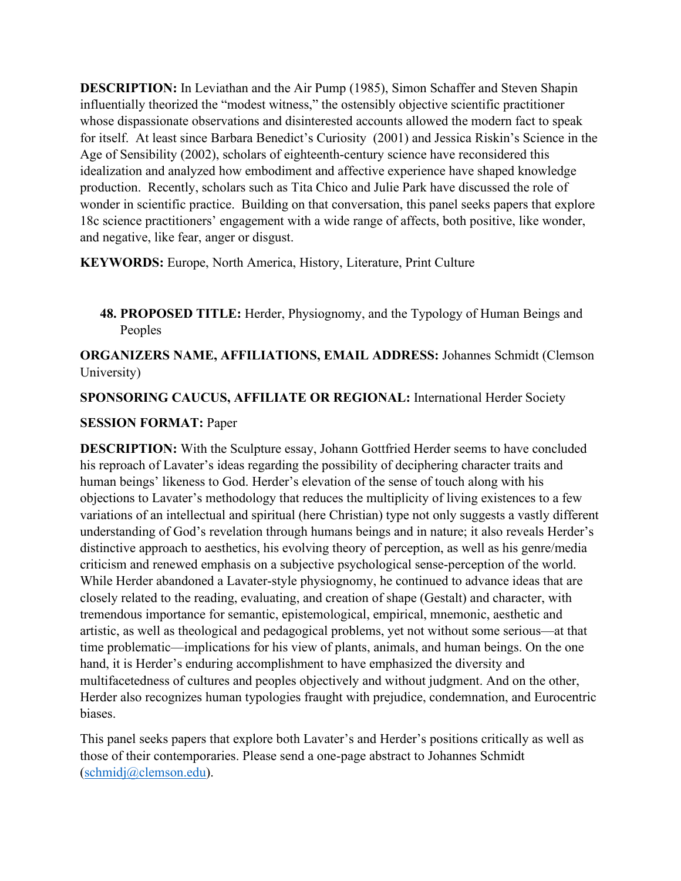**DESCRIPTION:** In Leviathan and the Air Pump (1985), Simon Schaffer and Steven Shapin influentially theorized the "modest witness," the ostensibly objective scientific practitioner whose dispassionate observations and disinterested accounts allowed the modern fact to speak for itself. At least since Barbara Benedict's Curiosity (2001) and Jessica Riskin's Science in the Age of Sensibility (2002), scholars of eighteenth-century science have reconsidered this idealization and analyzed how embodiment and affective experience have shaped knowledge production. Recently, scholars such as Tita Chico and Julie Park have discussed the role of wonder in scientific practice. Building on that conversation, this panel seeks papers that explore 18c science practitioners' engagement with a wide range of affects, both positive, like wonder, and negative, like fear, anger or disgust.

**KEYWORDS:** Europe, North America, History, Literature, Print Culture

**48. PROPOSED TITLE:** Herder, Physiognomy, and the Typology of Human Beings and Peoples

**ORGANIZERS NAME, AFFILIATIONS, EMAIL ADDRESS:** Johannes Schmidt (Clemson University)

**SPONSORING CAUCUS, AFFILIATE OR REGIONAL:** International Herder Society

### **SESSION FORMAT:** Paper

**DESCRIPTION:** With the Sculpture essay, Johann Gottfried Herder seems to have concluded his reproach of Lavater's ideas regarding the possibility of deciphering character traits and human beings' likeness to God. Herder's elevation of the sense of touch along with his objections to Lavater's methodology that reduces the multiplicity of living existences to a few variations of an intellectual and spiritual (here Christian) type not only suggests a vastly different understanding of God's revelation through humans beings and in nature; it also reveals Herder's distinctive approach to aesthetics, his evolving theory of perception, as well as his genre/media criticism and renewed emphasis on a subjective psychological sense-perception of the world. While Herder abandoned a Lavater-style physiognomy, he continued to advance ideas that are closely related to the reading, evaluating, and creation of shape (Gestalt) and character, with tremendous importance for semantic, epistemological, empirical, mnemonic, aesthetic and artistic, as well as theological and pedagogical problems, yet not without some serious—at that time problematic—implications for his view of plants, animals, and human beings. On the one hand, it is Herder's enduring accomplishment to have emphasized the diversity and multifacetedness of cultures and peoples objectively and without judgment. And on the other, Herder also recognizes human typologies fraught with prejudice, condemnation, and Eurocentric biases.

This panel seeks papers that explore both Lavater's and Herder's positions critically as well as those of their contemporaries. Please send a one-page abstract to Johannes Schmidt [\(schmidj@clemson.edu\)](mailto:schmidj@clemson.edu).